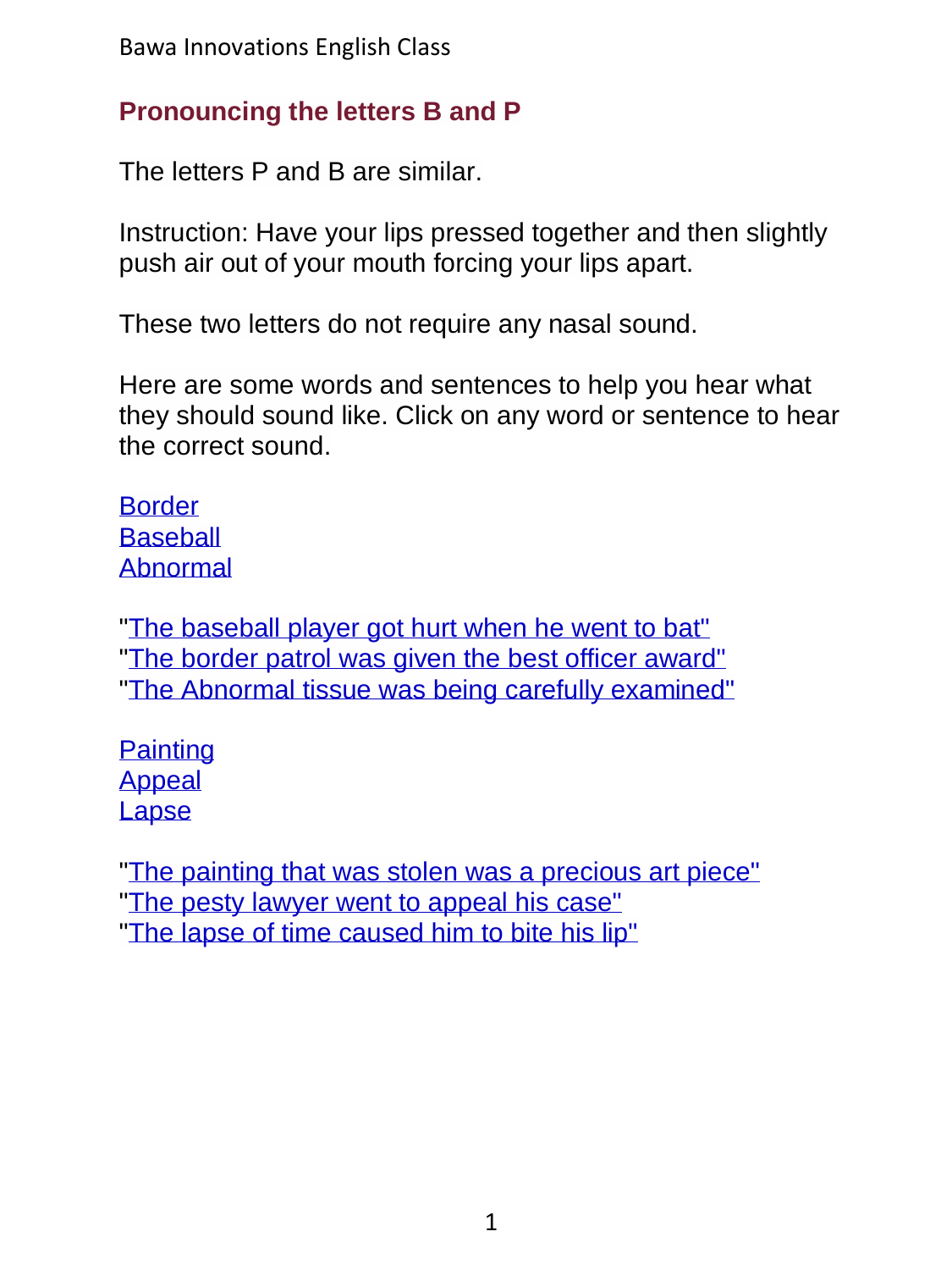Bawa Innovations English Class

#### **Pronouncing the letters B and P**

The letters P and B are similar.

Instruction: Have your lips pressed together and then slightly push air out of your mouth forcing your lips apart.

These two letters do not require any nasal sound.

Here are some words and sentences to help you hear what they should sound like. Click on any word or sentence to hear the correct sound.

**[Border](../../ShortAudio/Pronunciation/01Pronounce_BP/01Pronounce_BP_S2.mp3) [Baseball](../../ShortAudio/Pronunciation/01Pronounce_BP/01Pronounce_BP_S3.mp3)** [Abnormal](../../ShortAudio/Pronunciation/01Pronounce_BP/01Pronounce_BP_S4.mp3)

["The baseball player got hurt when he went to bat"](../../ShortAudio/Pronunciation/01Pronounce_BP/01Pronounce_BP_S5.mp3) ["The border patrol was given the best officer award"](../../ShortAudio/Pronunciation/01Pronounce_BP/01Pronounce_BP_S6.mp3) ["The Abnormal tissue was being carefully examined"](../../ShortAudio/Pronunciation/01Pronounce_BP/01Pronounce_BP_S7.mp3)

**[Painting](../../ShortAudio/Pronunciation/01Pronounce_BP/01Pronounce_BP_S8.mp3)** [Appeal](../../ShortAudio/Pronunciation/01Pronounce_BP/01Pronounce_BP_S9.mp3) [Lapse](../../ShortAudio/Pronunciation/01Pronounce_BP/01Pronounce_BP_S10.mp3)

["The painting that was stolen was a precious art piece"](../../ShortAudio/Pronunciation/01Pronounce_BP/01Pronounce_BP_S11.mp3) ["The pesty lawyer went to appeal his case"](../../ShortAudio/Pronunciation/01Pronounce_BP/01Pronounce_BP_S12.mp3) ["The lapse of time caused him to bite his lip"](../../ShortAudio/Pronunciation/01Pronounce_BP/01Pronounce_BP_S13.mp3)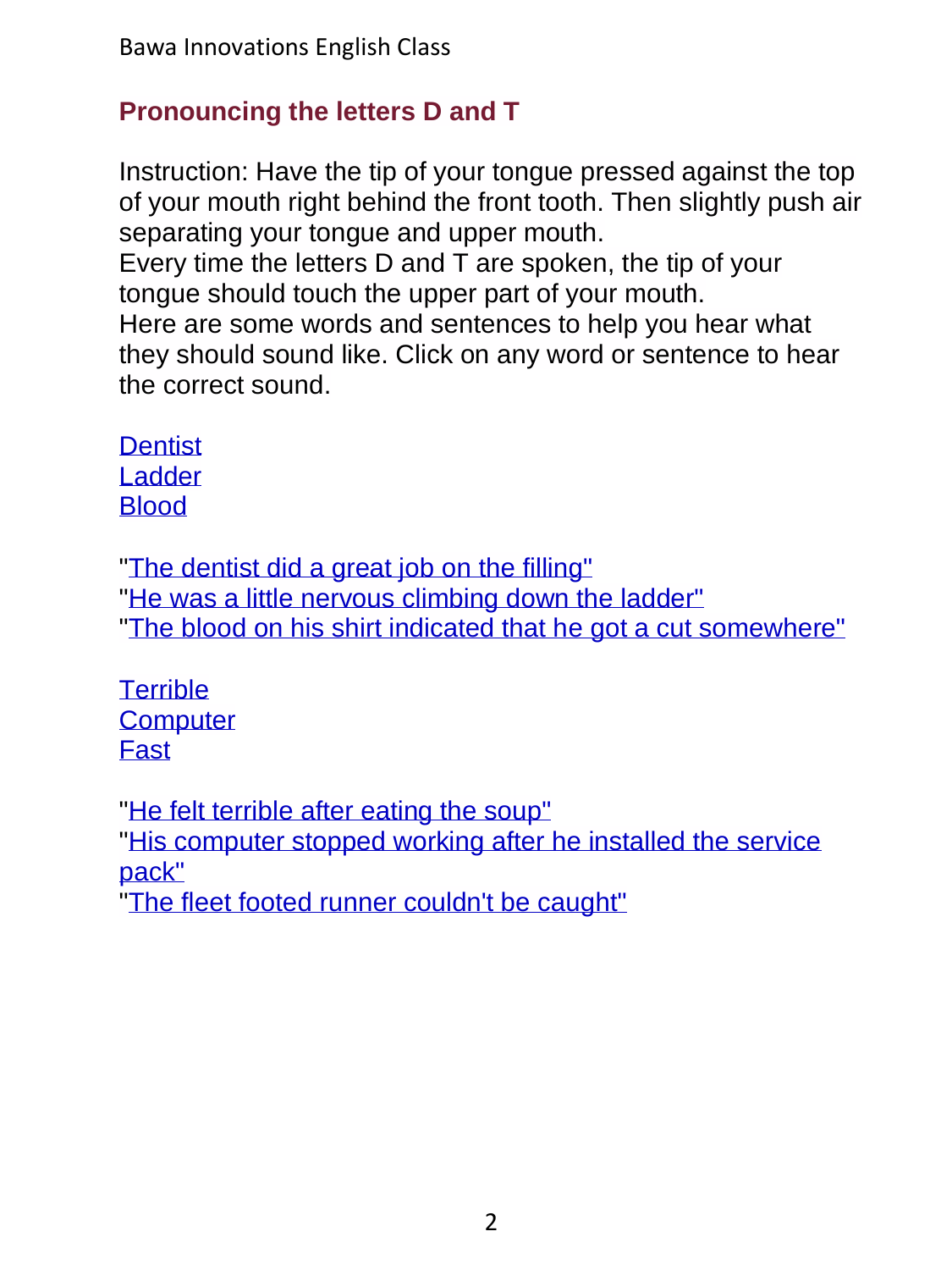# **Pronouncing the letters D and T**

Instruction: Have the tip of your tongue pressed against the top of your mouth right behind the front tooth. Then slightly push air separating your tongue and upper mouth.

Every time the letters D and T are spoken, the tip of your tongue should touch the upper part of your mouth.

Here are some words and sentences to help you hear what they should sound like. Click on any word or sentence to hear the correct sound.

**[Dentist](../../ShortAudio/Pronunciation/02Pronounce_DT/02Pronounce_DT_S2.mp3)** [Ladder](../../ShortAudio/Pronunciation/02Pronounce_DT/02Pronounce_DT_S3.mp3) **[Blood](../../ShortAudio/Pronunciation/02Pronounce_DT/02Pronounce_DT_S4.mp3)** 

["The dentist did a great job on the filling"](../../ShortAudio/Pronunciation/02Pronounce_DT/02Pronounce_DT_S5.mp3) ["He was a little nervous climbing down the ladder"](../../ShortAudio/Pronunciation/02Pronounce_DT/02Pronounce_DT_S6.mp3) ["The blood on his shirt indicated that he got a cut somewhere"](../../ShortAudio/Pronunciation/02Pronounce_DT/02Pronounce_DT_S7.mp3)

**[Terrible](../../ShortAudio/Pronunciation/02Pronounce_DT/02Pronounce_DT_S8.mp3) [Computer](../../ShortAudio/Pronunciation/02Pronounce_DT/02Pronounce_DT_S9.mp3)** [Fast](../../ShortAudio/Pronunciation/02Pronounce_DT/02Pronounce_DT_S10.mp3)

["He felt terrible after eating the soup"](../../ShortAudio/Pronunciation/02Pronounce_DT/02Pronounce_DT_S11.mp3) ["His computer stopped working after he installed the service](../../ShortAudio/Pronunciation/02Pronounce_DT/02Pronounce_DT_S12.mp3)  [pack"](../../ShortAudio/Pronunciation/02Pronounce_DT/02Pronounce_DT_S12.mp3) ["The fleet footed runner couldn't be caught"](../../ShortAudio/Pronunciation/02Pronounce_DT/02Pronounce_DT_S13.mp3)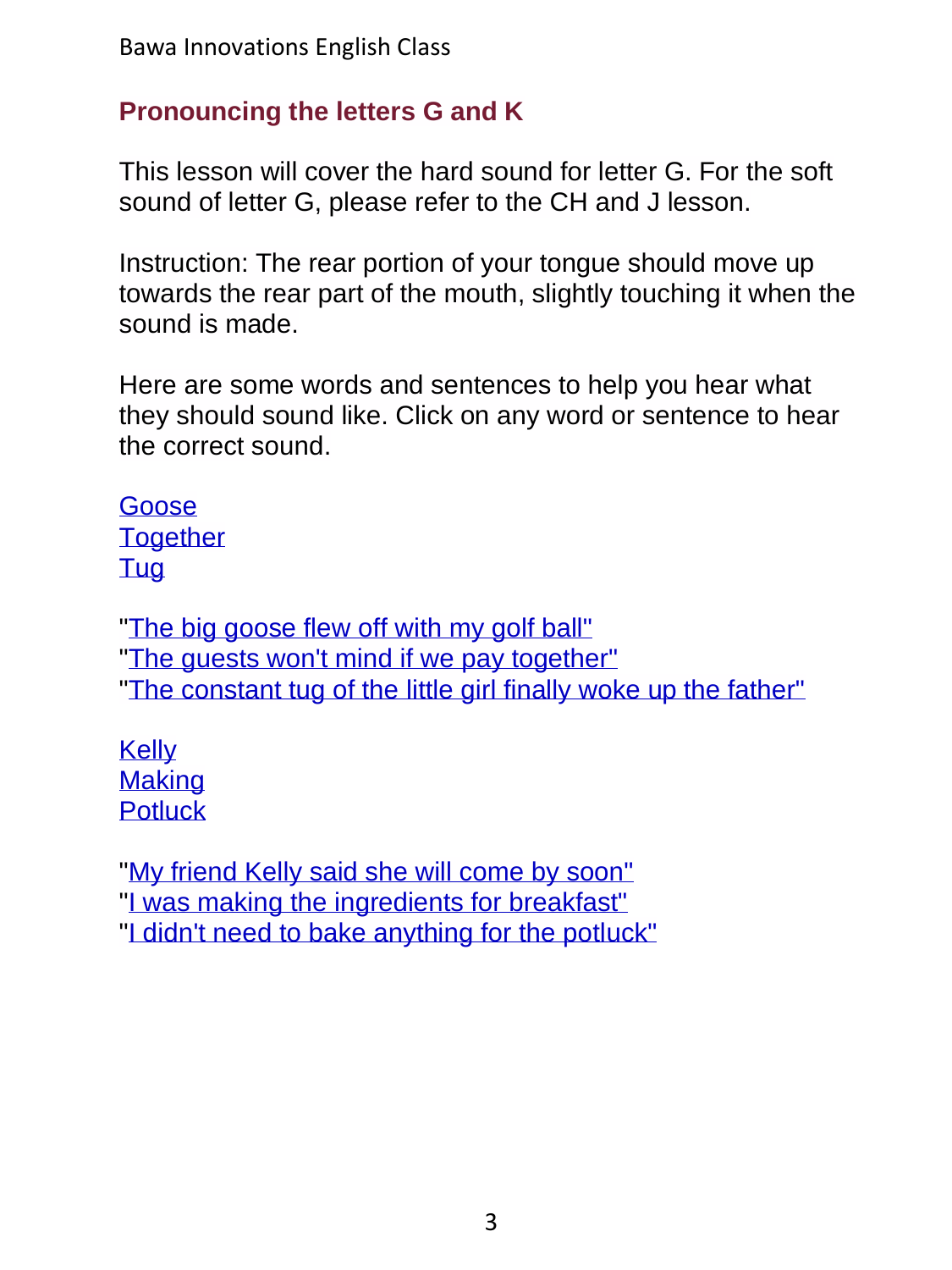# **Pronouncing the letters G and K**

This lesson will cover the hard sound for letter G. For the soft sound of letter G, please refer to the CH and J lesson.

Instruction: The rear portion of your tongue should move up towards the rear part of the mouth, slightly touching it when the sound is made.

Here are some words and sentences to help you hear what they should sound like. Click on any word or sentence to hear the correct sound.

[Goose](../../ShortAudio/Pronunciation/03Pronounce_GK/03Pronounce_GK_S2.mp3) **[Together](../../ShortAudio/Pronunciation/03Pronounce_GK/03Pronounce_GK_S3.mp3)** [Tug](../../ShortAudio/Pronunciation/03Pronounce_GK/03Pronounce_GK_S4.mp3)

["The big goose flew off with my golf ball"](../../ShortAudio/Pronunciation/03Pronounce_GK/03Pronounce_GK_S5.mp3) "The quests won't mind if we pay together" "The constant tug of the [little girl finally woke up the father"](../../ShortAudio/Pronunciation/03Pronounce_GK/03Pronounce_GK_S7.mp3)

[Kelly](../../ShortAudio/Pronunciation/03Pronounce_GK/03Pronounce_GK_S8.mp3) **[Making](../../ShortAudio/Pronunciation/03Pronounce_GK/03Pronounce_GK_S9.mp3) [Potluck](../../ShortAudio/Pronunciation/03Pronounce_GK/03Pronounce_GK_S10.mp3)** 

["My friend Kelly said she will come by soon"](../../ShortAudio/Pronunciation/03Pronounce_GK/03Pronounce_GK_S11.mp3) ["I was making the ingredients for breakfast"](../../ShortAudio/Pronunciation/03Pronounce_GK/03Pronounce_GK_S12.mp3) ["I didn't need to bake anything for the potluck"](../../ShortAudio/Pronunciation/03Pronounce_GK/03Pronounce_GK_S13.mp3)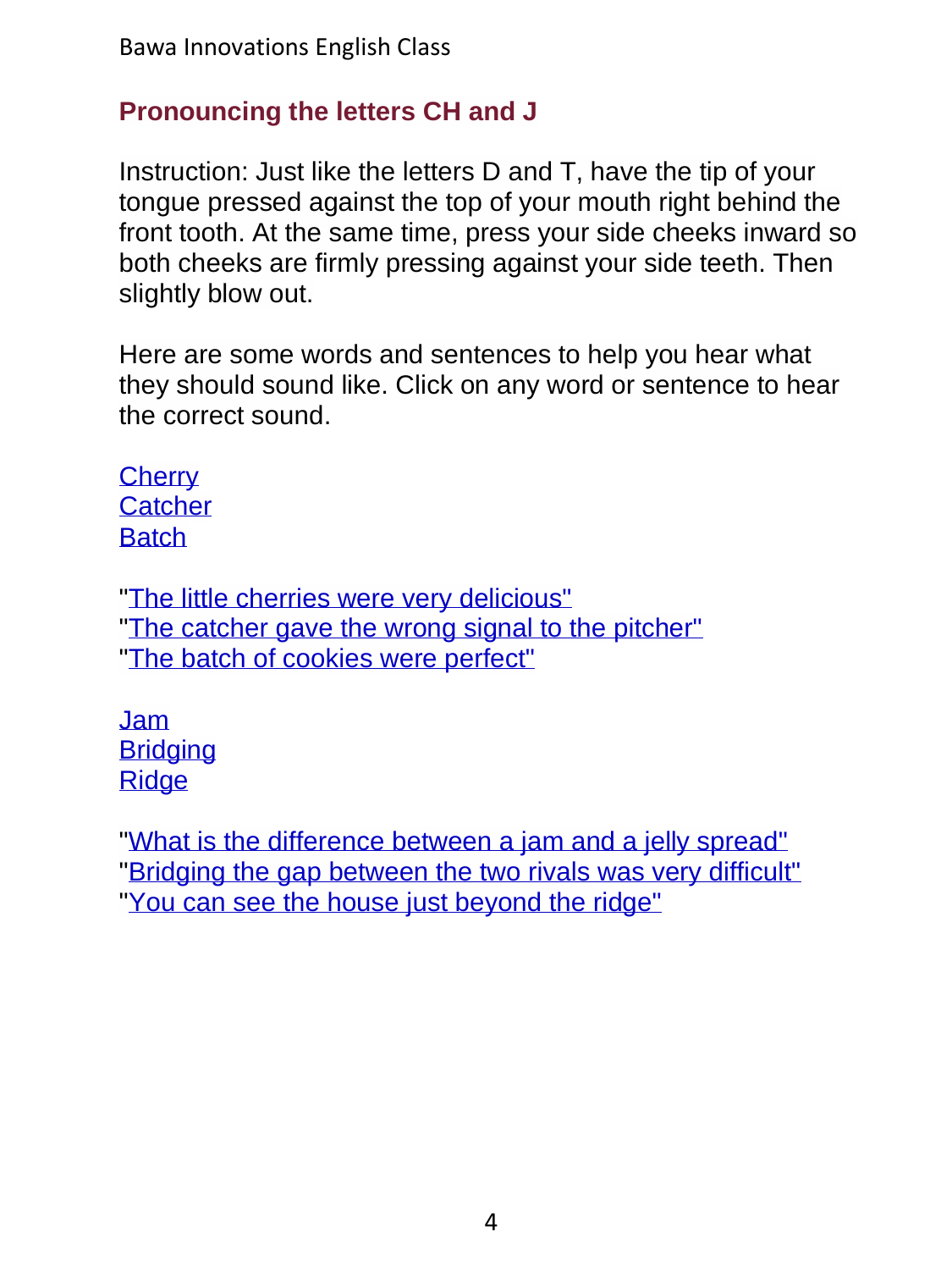# **Pronouncing the letters CH and J**

Instruction: Just like the letters D and T, have the tip of your tongue pressed against the top of your mouth right behind the front tooth. At the same time, press your side cheeks inward so both cheeks are firmly pressing against your side teeth. Then slightly blow out.

Here are some words and sentences to help you hear what they should sound like. Click on any word or sentence to hear the correct sound.

**[Cherry](../../ShortAudio/Pronunciation/04Pronounce_CH_J/04Pronounce_CH_J_S2.mp3) [Catcher](../../ShortAudio/Pronunciation/04Pronounce_CH_J/04Pronounce_CH_J_S3.mp3) [Batch](../../ShortAudio/Pronunciation/04Pronounce_CH_J/04Pronounce_CH_J_S4.mp3)** 

["The little cherries were very delicious"](../../ShortAudio/Pronunciation/04Pronounce_CH_J/04Pronounce_CH_J_S5.mp3) ["The catcher gave the wrong signal to the pitcher"](../../ShortAudio/Pronunciation/04Pronounce_CH_J/04Pronounce_CH_J_S6.mp3) ["The batch of cookies were perfect"](../../ShortAudio/Pronunciation/04Pronounce_CH_J/04Pronounce_CH_J_S7.mp3)

[Jam](../../ShortAudio/Pronunciation/04Pronounce_CH_J/04Pronounce_CH_J_S8.mp3) **[Bridging](../../ShortAudio/Pronunciation/04Pronounce_CH_J/04Pronounce_CH_J_S9.mp3) [Ridge](../../ShortAudio/Pronunciation/04Pronounce_CH_J/04Pronounce_CH_J_S10.mp3)** 

["What is the difference between a jam and a jelly spread"](../../ShortAudio/Pronunciation/04Pronounce_CH_J/04Pronounce_CH_J_S11.mp3) ["Bridging the gap between the two rivals was very difficult"](../../ShortAudio/Pronunciation/04Pronounce_CH_J/04Pronounce_CH_J_S12.mp3) ["You can see the house just beyond the ridge"](../../ShortAudio/Pronunciation/04Pronounce_CH_J/04Pronounce_CH_J_S13.mp3)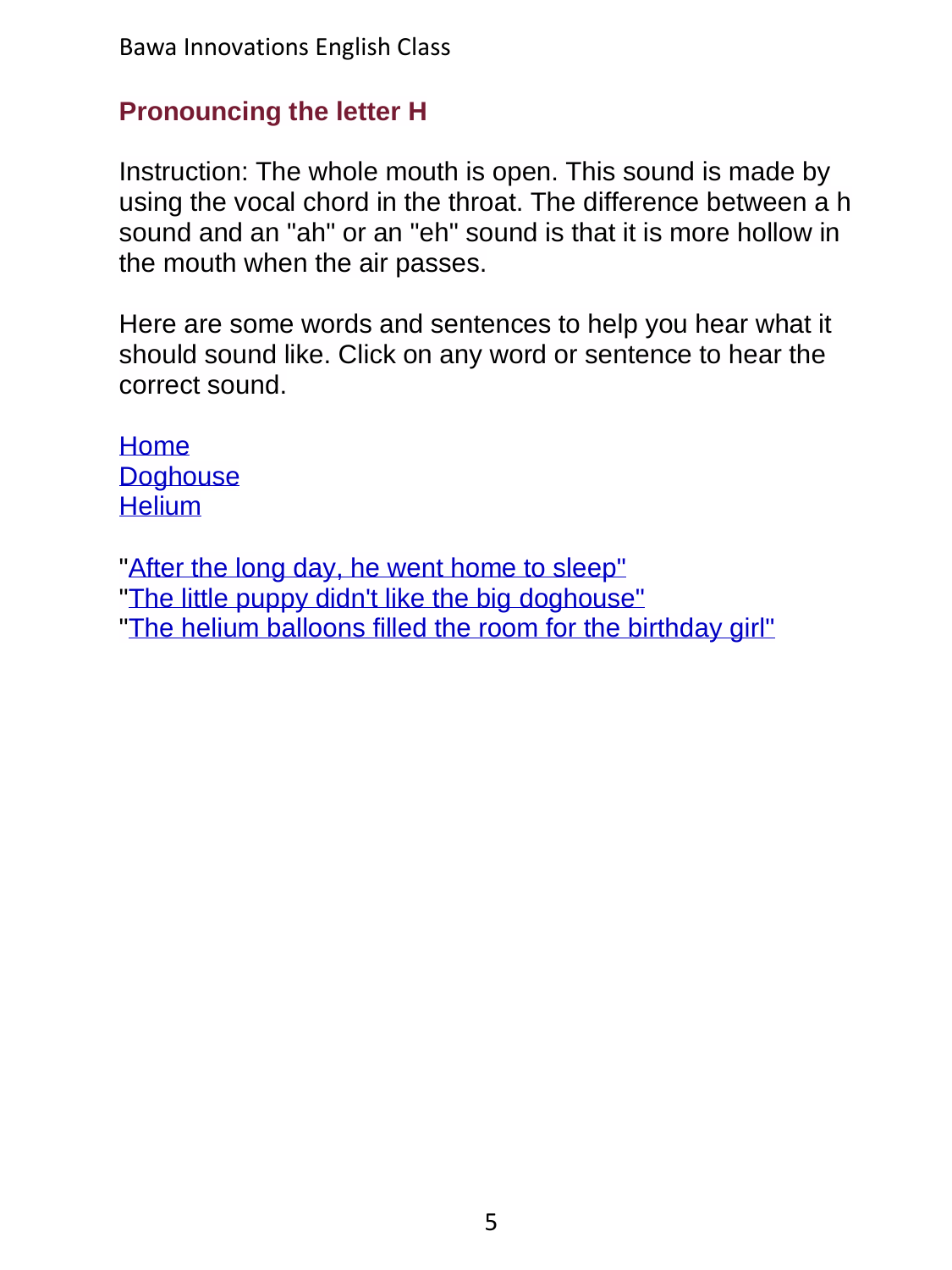## **Pronouncing the letter H**

Instruction: The whole mouth is open. This sound is made by using the vocal chord in the throat. The difference between a h sound and an "ah" or an "eh" sound is that it is more hollow in the mouth when the air passes.

Here are some words and sentences to help you hear what it should sound like. Click on any word or sentence to hear the correct sound.

[Home](../../ShortAudio/Pronunciation/05Pronounce_H/05Pronounce_H_S2.mp3) **[Doghouse](../../ShortAudio/Pronunciation/05Pronounce_H/05Pronounce_H_S3.mp3) [Helium](../../ShortAudio/Pronunciation/05Pronounce_H/05Pronounce_H_S4.mp3)** 

["After the long day, he went home to sleep"](../../ShortAudio/Pronunciation/05Pronounce_H/05Pronounce_H_S5.mp3) ["The little puppy didn't like the big doghouse"](../../ShortAudio/Pronunciation/05Pronounce_H/05Pronounce_H_S6.mp3) ["The helium balloons filled the room for the birthday girl"](../../ShortAudio/Pronunciation/05Pronounce_H/05Pronounce_H_S7.mp3)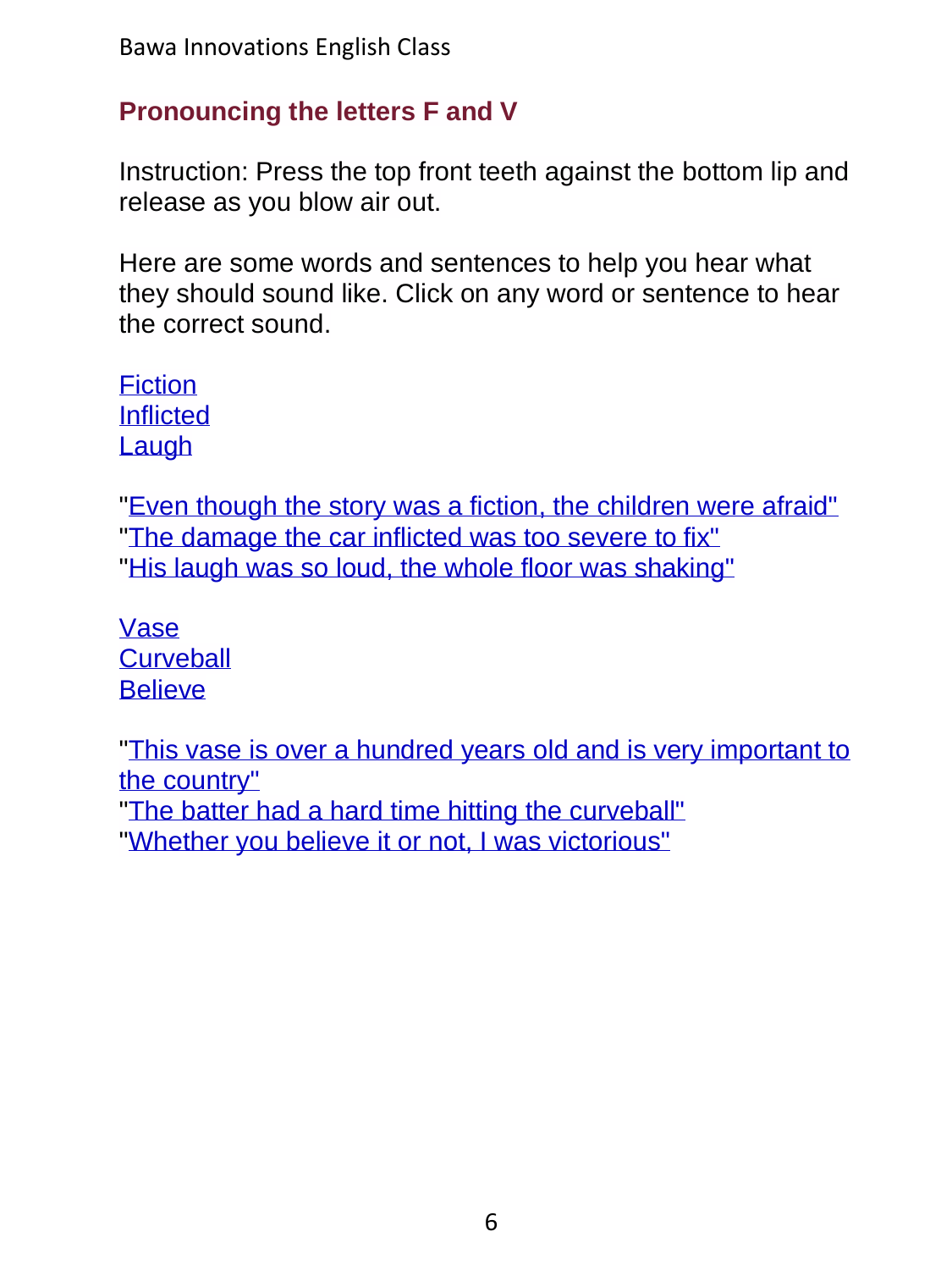## **Pronouncing the letters F and V**

Instruction: Press the top front teeth against the bottom lip and release as you blow air out.

Here are some words and sentences to help you hear what they should sound like. Click on any word or sentence to hear the correct sound.

**[Fiction](../../ShortAudio/Pronunciation/06Pronounce_FV/06Pronounce_FV_S2.mp3)** [Inflicted](../../ShortAudio/Pronunciation/06Pronounce_FV/06Pronounce_FV_S3.mp3) [Laugh](../../ShortAudio/Pronunciation/06Pronounce_FV/06Pronounce_FV_S4.mp3)

["Even though the story was a fiction, the children were afraid"](../../ShortAudio/Pronunciation/06Pronounce_FV/06Pronounce_FV_S5.mp3) ["The damage the car inflicted was too severe to fix"](../../ShortAudio/Pronunciation/06Pronounce_FV/06Pronounce_FV_S6.mp3) ["His laugh was so loud, the whole floor was shaking"](../../ShortAudio/Pronunciation/06Pronounce_FV/06Pronounce_FV_S7.mp3)

[Vase](../../ShortAudio/Pronunciation/06Pronounce_FV/06Pronounce_FV_S8.mp3) **[Curveball](../../ShortAudio/Pronunciation/06Pronounce_FV/06Pronounce_FV_S9.mp3) [Believe](../../ShortAudio/Pronunciation/06Pronounce_FV/06Pronounce_FV_S10.mp3)** 

["This vase is over a hundred years old and is very important to](../../ShortAudio/Pronunciation/06Pronounce_FV/06Pronounce_FV_S11.mp3)  [the country"](../../ShortAudio/Pronunciation/06Pronounce_FV/06Pronounce_FV_S11.mp3)

["The batter had a hard time hitting the curveball"](../../ShortAudio/Pronunciation/06Pronounce_FV/06Pronounce_FV_S12.mp3) ["Whether you believe it or not, I was victorious"](../../ShortAudio/Pronunciation/06Pronounce_FV/06Pronounce_FV_S13.mp3)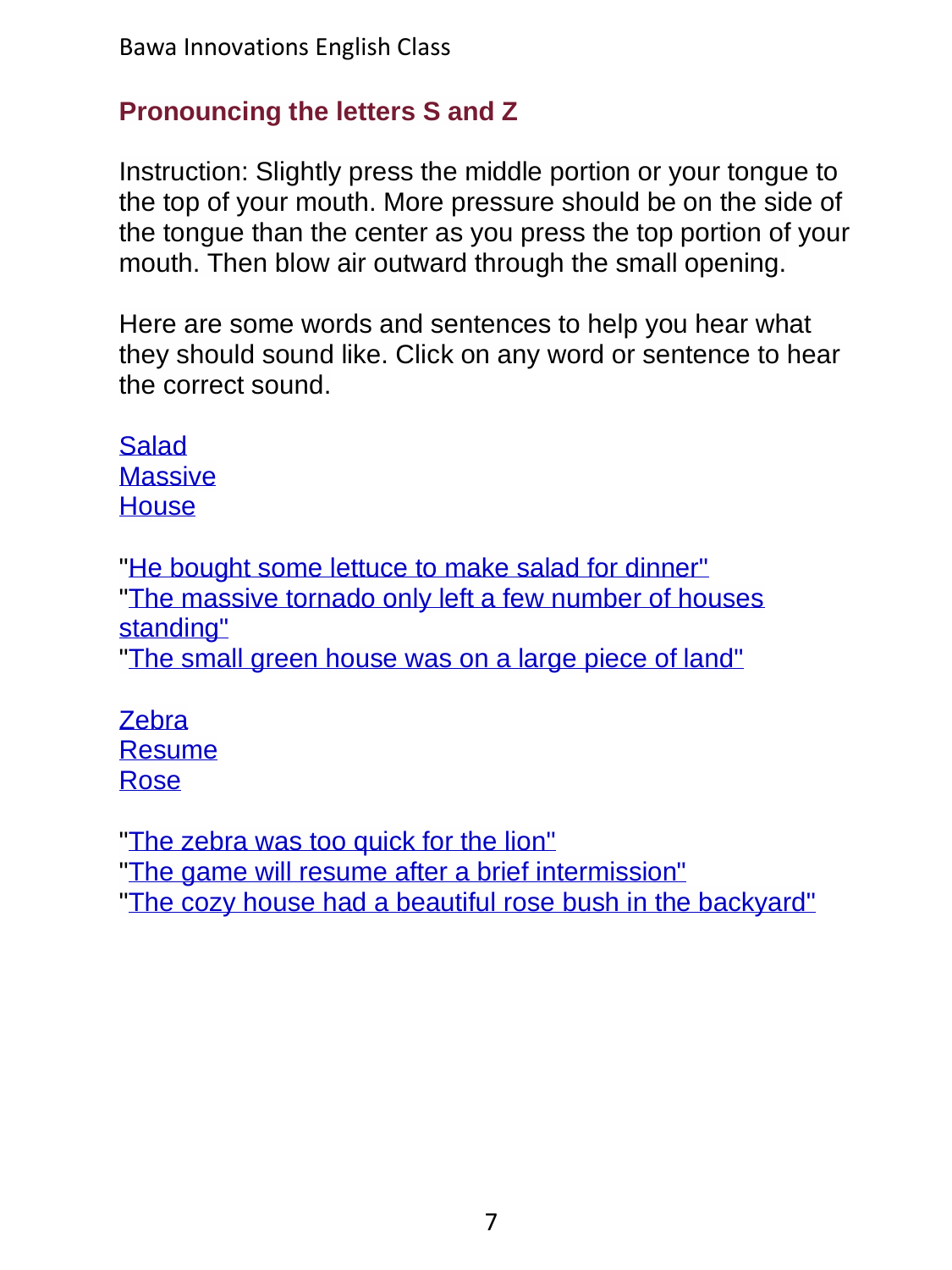# **Pronouncing the letters S and Z**

Instruction: Slightly press the middle portion or your tongue to the top of your mouth. More pressure should be on the side of the tongue than the center as you press the top portion of your mouth. Then blow air outward through the small opening.

Here are some words and sentences to help you hear what they should sound like. Click on any word or sentence to hear the correct sound.

**[Salad](../../ShortAudio/Pronunciation/07Pronounce_SZ/07Pronounce_SZ_S2.mp3) [Massive](../../ShortAudio/Pronunciation/07Pronounce_SZ/07Pronounce_SZ_S3.mp3) [House](../../ShortAudio/Pronunciation/07Pronounce_SZ/07Pronounce_SZ_S4.mp3)** 

["He bought some lettuce to make salad for dinner"](../../ShortAudio/Pronunciation/07Pronounce_SZ/07Pronounce_SZ_S5.mp3) ["The massive tornado only left a few number of houses](../../ShortAudio/Pronunciation/07Pronounce_SZ/07Pronounce_SZ_S6.mp3)  [standing"](../../ShortAudio/Pronunciation/07Pronounce_SZ/07Pronounce_SZ_S6.mp3) ["The small green house was on a large piece of land"](../../ShortAudio/Pronunciation/07Pronounce_SZ/07Pronounce_SZ_S7.mp3)

**[Zebra](../../ShortAudio/Pronunciation/07Pronounce_SZ/07Pronounce_SZ_S8.mp3)** [Resume](../../ShortAudio/Pronunciation/07Pronounce_SZ/07Pronounce_SZ_S9.mp3) [Rose](../../ShortAudio/Pronunciation/07Pronounce_SZ/07Pronounce_SZ_S10.mp3)

["The zebra was too quick for the lion"](../../ShortAudio/Pronunciation/07Pronounce_SZ/07Pronounce_SZ_S11.mp3) ["The game will resume after a brief intermission"](../../ShortAudio/Pronunciation/07Pronounce_SZ/07Pronounce_SZ_S12.mp3) ["The cozy house had a beautiful rose bush in the backyard"](../../ShortAudio/Pronunciation/07Pronounce_SZ/07Pronounce_SZ_S13.mp3)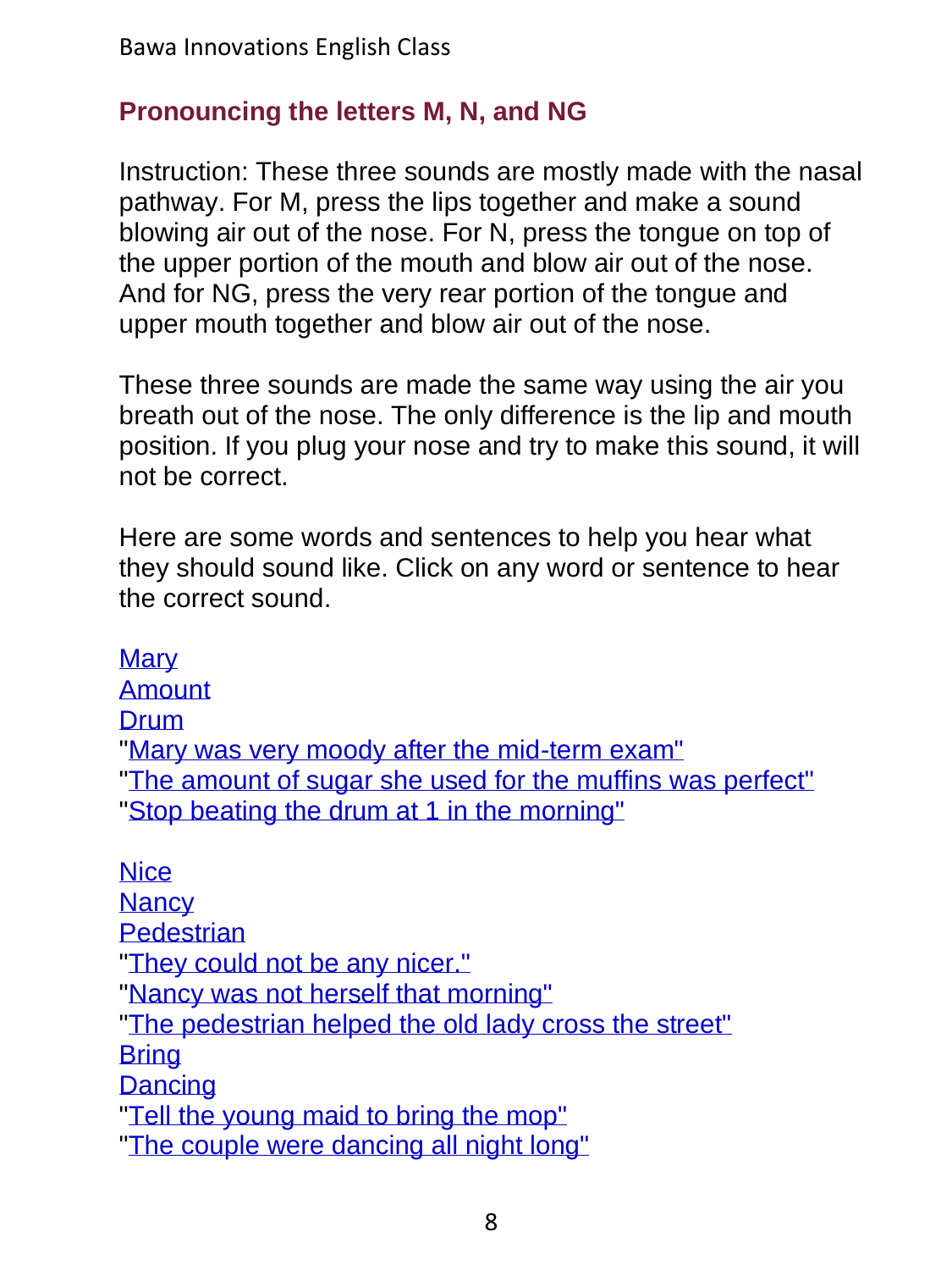## **Pronouncing the letters M, N, and NG**

Instruction: These three sounds are mostly made with the nasal pathway. For M, press the lips together and make a sound blowing air out of the nose. For N, press the tongue on top of the upper portion of the mouth and blow air out of the nose. And for NG, press the very rear portion of the tongue and upper mouth together and blow air out of the nose.

These three sounds are made the same way using the air you breath out of the nose. The only difference is the lip and mouth position. If you plug your nose and try to make this sound, it will not be correct.

Here are some words and sentences to help you hear what they should sound like. Click on any word or sentence to hear the correct sound.

**[Mary](../../ShortAudio/Pronunciation/08Pronounce_MN_NG/08Pronounce_MN_NG_S2.mp3)** [Amount](../../ShortAudio/Pronunciation/08Pronounce_MN_NG/08Pronounce_MN_NG_S3.mp3) [Drum](../../ShortAudio/Pronunciation/08Pronounce_MN_NG/08Pronounce_MN_NG_S4.mp3) ["Mary was very moody after the mid-term exam"](../../ShortAudio/Pronunciation/08Pronounce_MN_NG/08Pronounce_MN_NG_S5.mp3) ["The amount of sugar she used for the muffins was perfect"](../../ShortAudio/Pronunciation/08Pronounce_MN_NG/08Pronounce_MN_NG_S6.mp3) ["Stop beating the drum at 1 in the morning"](../../ShortAudio/Pronunciation/08Pronounce_MN_NG/08Pronounce_MN_NG_S7.mp3) **[Nice](../../ShortAudio/Pronunciation/08Pronounce_MN_NG/08Pronounce_MN_NG_S8.mp3) [Nancy](../../ShortAudio/Pronunciation/08Pronounce_MN_NG/08Pronounce_MN_NG_S9.mp3) [Pedestrian](../../ShortAudio/Pronunciation/08Pronounce_MN_NG/08Pronounce_MN_NG_S10.mp3)** ["They could not be any nicer."](../../ShortAudio/Pronunciation/08Pronounce_MN_NG/08Pronounce_MN_NG_S11.mp3) ["Nancy was not herself that morning"](../../ShortAudio/Pronunciation/08Pronounce_MN_NG/08Pronounce_MN_NG_S12.mp3) ["The pedestrian helped the old lady cross the street"](../../ShortAudio/Pronunciation/08Pronounce_MN_NG/08Pronounce_MN_NG_S13.mp3) **[Bring](../../ShortAudio/Pronunciation/08Pronounce_MN_NG/08Pronounce_MN_NG_S14.mp3) [Dancing](../../ShortAudio/Pronunciation/08Pronounce_MN_NG/08Pronounce_MN_NG_S15.mp3)** ["Tell the young maid to bring the mop"](../../ShortAudio/Pronunciation/08Pronounce_MN_NG/08Pronounce_MN_NG_S16.mp3) ["The couple were dancing all night long"](../../ShortAudio/Pronunciation/08Pronounce_MN_NG/08Pronounce_MN_NG_S17.mp3)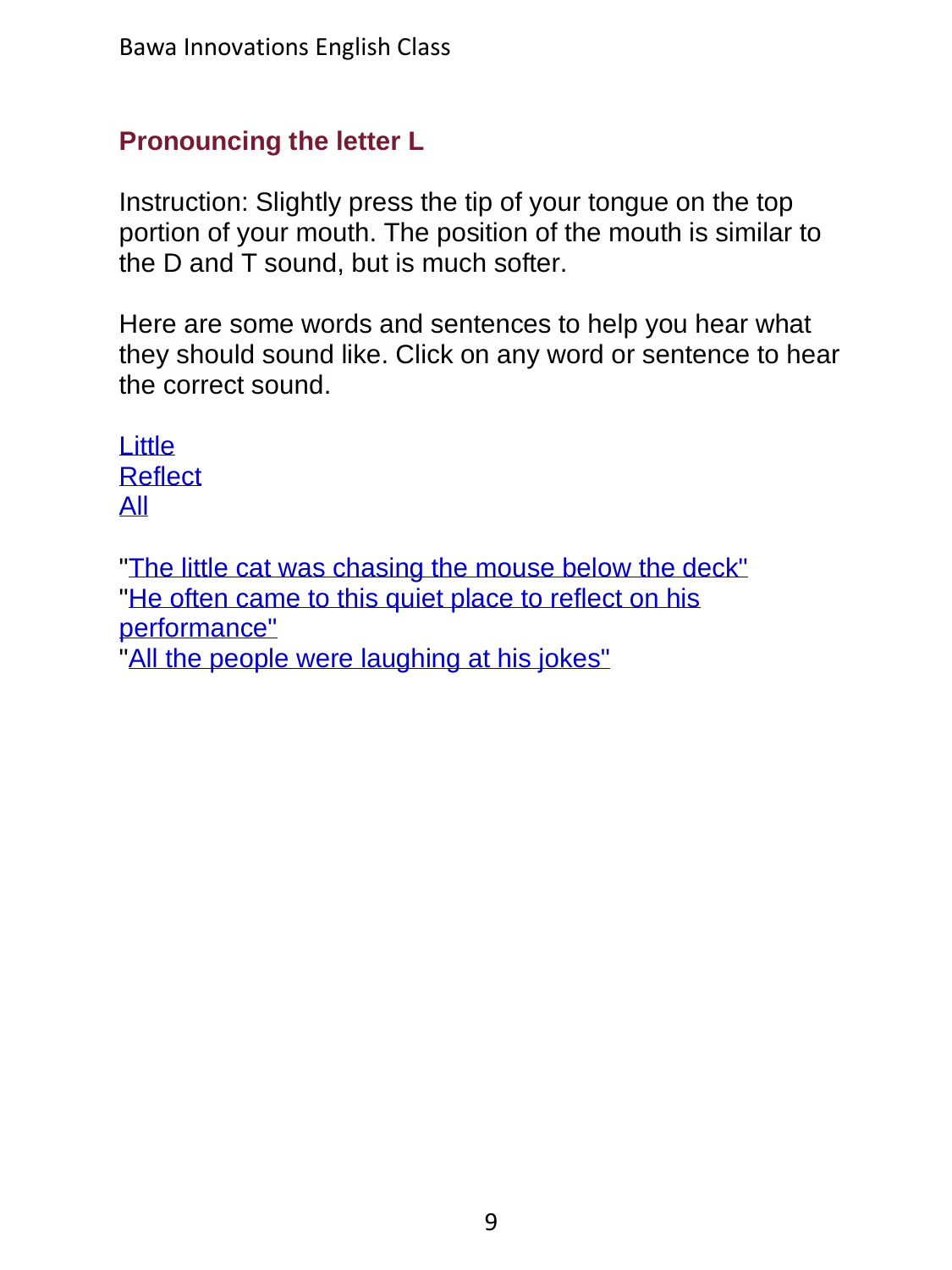# **Pronouncing the letter L**

Instruction: Slightly press the tip of your tongue on the top portion of your mouth. The position of the mouth is similar to the D and T sound, but is much softer.

Here are some words and sentences to help you hear what they should sound like. Click on any word or sentence to hear the correct sound.

[Little](../../ShortAudio/Pronunciation/09Pronounce_L/09Pronounce_L_S2.mp3) **[Reflect](../../ShortAudio/Pronunciation/09Pronounce_L/09Pronounce_L_S3.mp3)** [All](../../ShortAudio/Pronunciation/09Pronounce_L/09Pronounce_L_S4.mp3)

["The little cat was chasing the mouse below the deck"](../../ShortAudio/Pronunciation/09Pronounce_L/09Pronounce_L_S5.mp3) "He often came to this quiet place to reflect on his [performance"](../../ShortAudio/Pronunciation/09Pronounce_L/09Pronounce_L_S6.mp3) ["All the people were laughing at his jokes"](../../ShortAudio/Pronunciation/09Pronounce_L/09Pronounce_L_S7.mp3)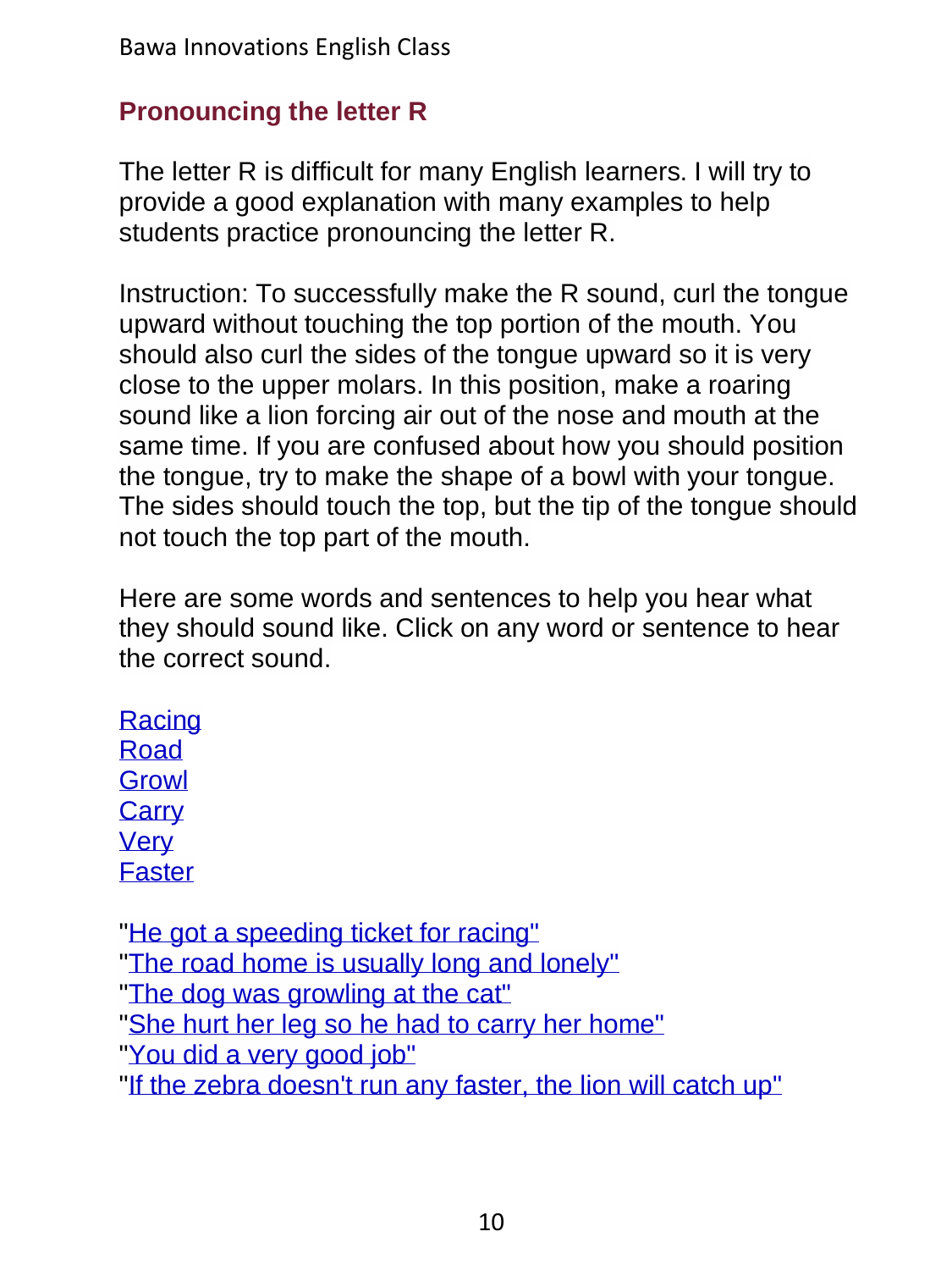## **Pronouncing the letter R**

The letter R is difficult for many English learners. I will try to provide a good explanation with many examples to help students practice pronouncing the letter R.

Instruction: To successfully make the R sound, curl the tongue upward without touching the top portion of the mouth. You should also curl the sides of the tongue upward so it is very close to the upper molars. In this position, make a roaring sound like a lion forcing air out of the nose and mouth at the same time. If you are confused about how you should position the tongue, try to make the shape of a bowl with your tongue. The sides should touch the top, but the tip of the tongue should not touch the top part of the mouth.

Here are some words and sentences to help you hear what they should sound like. Click on any word or sentence to hear the correct sound.

**[Racing](../../ShortAudio/Pronunciation/10Pronounce_R/10Pronounce_R_S2.mp3)** [Road](../../ShortAudio/Pronunciation/10Pronounce_R/10Pronounce_R_S3.mp3) **[Growl](../../ShortAudio/Pronunciation/10Pronounce_R/10Pronounce_R_S4.mp3) [Carry](../../ShortAudio/Pronunciation/10Pronounce_R/10Pronounce_R_S5.mp3)** [Very](../../ShortAudio/Pronunciation/10Pronounce_R/10Pronounce_R_S6.mp3) [Faster](../../ShortAudio/Pronunciation/10Pronounce_R/10Pronounce_R_S7.mp3)

["He got a speeding ticket for racing"](../../ShortAudio/Pronunciation/10Pronounce_R/10Pronounce_R_S8.mp3) ["The road home is usually long and lonely"](../../ShortAudio/Pronunciation/10Pronounce_R/10Pronounce_R_S9.mp3) ["The dog was growling at the cat"](../../ShortAudio/Pronunciation/10Pronounce_R/10Pronounce_R_S10.mp3) ["She hurt her leg so he had to carry her home"](../../ShortAudio/Pronunciation/10Pronounce_R/10Pronounce_R_S11.mp3) ["You did a very good job"](../../ShortAudio/Pronunciation/10Pronounce_R/10Pronounce_R_S12.mp3) ["If the zebra doesn't run any faster, the lion will catch up"](../../ShortAudio/Pronunciation/10Pronounce_R/10Pronounce_R_S13.mp3)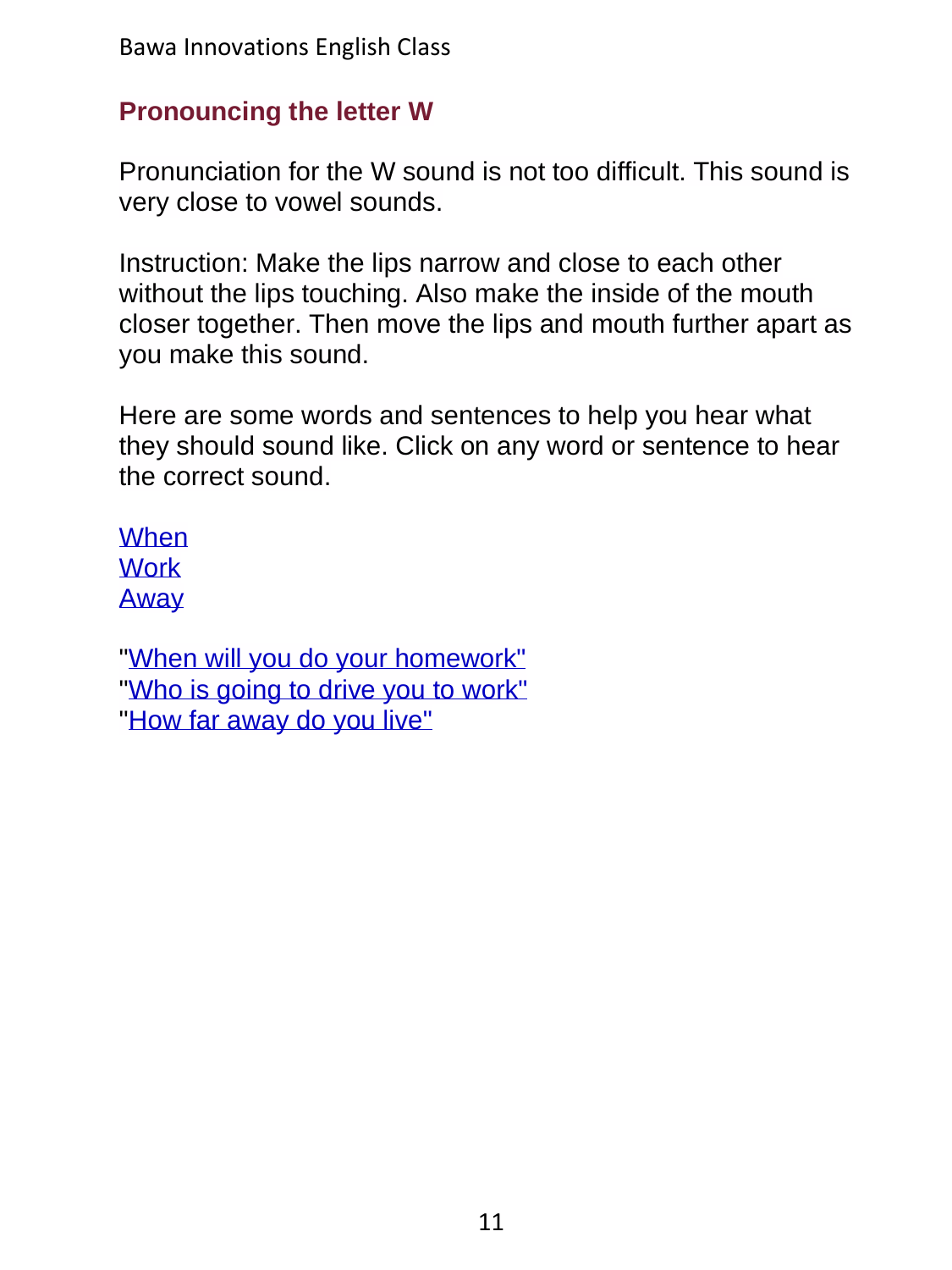## **Pronouncing the letter W**

Pronunciation for the W sound is not too difficult. This sound is very close to vowel sounds.

Instruction: Make the lips narrow and close to each other without the lips touching. Also make the inside of the mouth closer together. Then move the lips and mouth further apart as you make this sound.

Here are some words and sentences to help you hear what they should sound like. Click on any word or sentence to hear the correct sound.

**[When](../../ShortAudio/Pronunciation/11Pronounce_W/11Pronounce_W_S2.mp3) [Work](../../ShortAudio/Pronunciation/11Pronounce_W/11Pronounce_W_S3.mp3)** [Away](../../ShortAudio/Pronunciation/11Pronounce_W/11Pronounce_W_S4.mp3)

["When will you do your homework"](../../ShortAudio/Pronunciation/11Pronounce_W/11Pronounce_W_S5.mp3) ["Who is going to drive you to work"](../../ShortAudio/Pronunciation/11Pronounce_W/11Pronounce_W_S6.mp3) ["How far away do you live"](../../ShortAudio/Pronunciation/11Pronounce_W/11Pronounce_W_S7.mp3)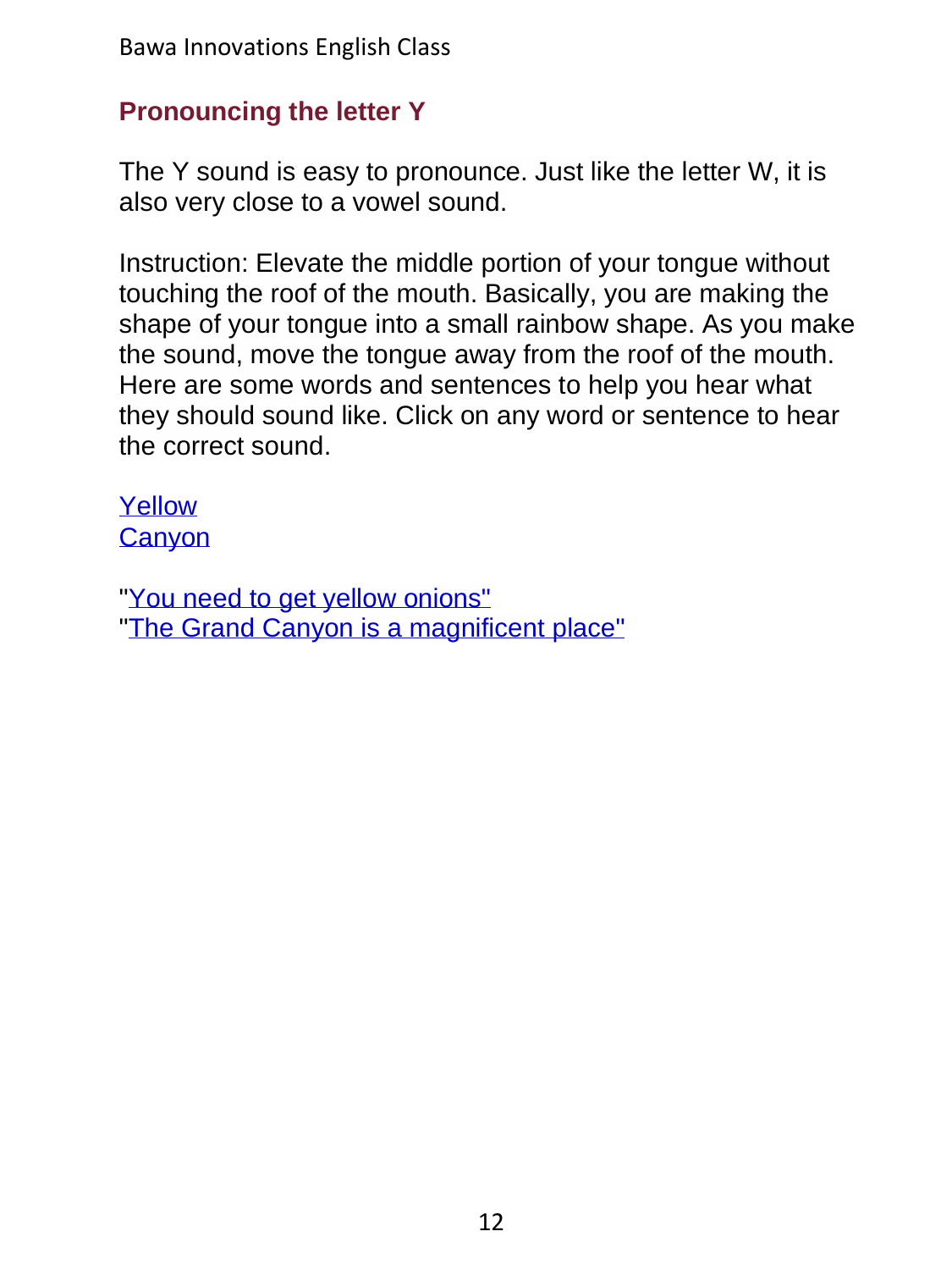## **Pronouncing the letter Y**

The Y sound is easy to pronounce. Just like the letter W, it is also very close to a vowel sound.

Instruction: Elevate the middle portion of your tongue without touching the roof of the mouth. Basically, you are making the shape of your tongue into a small rainbow shape. As you make the sound, move the tongue away from the roof of the mouth. Here are some words and sentences to help you hear what they should sound like. Click on any word or sentence to hear the correct sound.

[Yellow](../../ShortAudio/Pronunciation/12Pronounce_Y/12Pronounce_Y_S2.mp3) **Canvon** 

["You need to get yellow onions"](../../ShortAudio/Pronunciation/12Pronounce_Y/12Pronounce_Y_S4.mp3) ["The Grand Canyon is a magnificent](../../ShortAudio/Pronunciation/12Pronounce_Y/12Pronounce_Y_S5.mp3) place"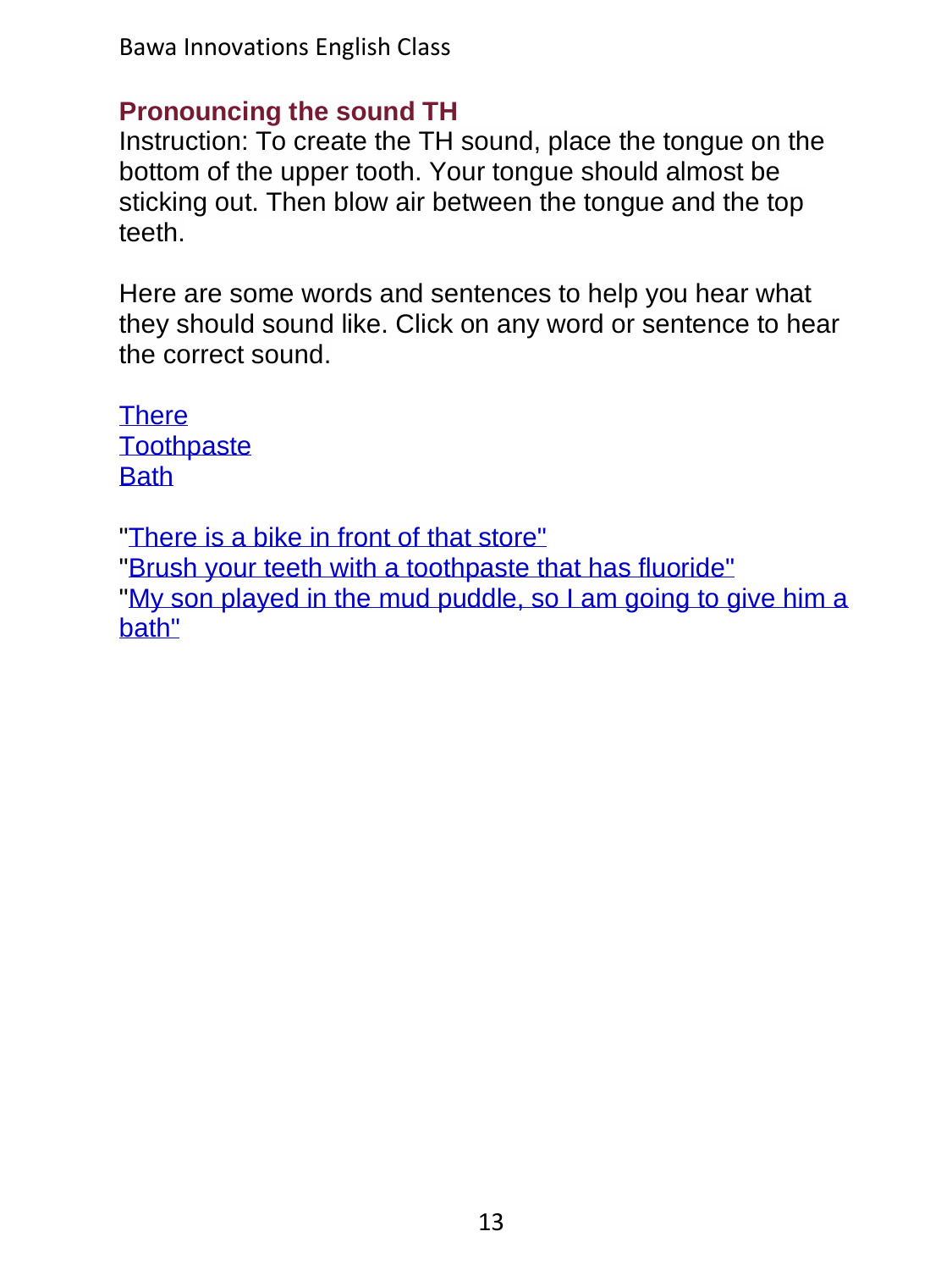Bawa Innovations English Class

#### **Pronouncing the sound TH**

Instruction: To create the TH sound, place the tongue on the bottom of the upper tooth. Your tongue should almost be sticking out. Then blow air between the tongue and the top teeth.

Here are some words and sentences to help you hear what they should sound like. Click on any word or sentence to hear the correct sound.

**[There](../../ShortAudio/Pronunciation/13Pronounce_TH/13Pronounce_TH_S2.mp3) [Toothpaste](../../ShortAudio/Pronunciation/13Pronounce_TH/13Pronounce_TH_S3.mp3) [Bath](../../ShortAudio/Pronunciation/13Pronounce_TH/13Pronounce_TH_S4.mp3)** 

["There is a bike in front of that store"](../../ShortAudio/Pronunciation/13Pronounce_TH/13Pronounce_TH_S5.mp3)

["Brush your teeth with a toothpaste that has fluoride"](../../ShortAudio/Pronunciation/13Pronounce_TH/13Pronounce_TH_S6.mp3)

"My son played in the [mud puddle, so I am going to give him a](../../ShortAudio/Pronunciation/13Pronounce_TH/13Pronounce_TH_S7.mp3)  [bath"](../../ShortAudio/Pronunciation/13Pronounce_TH/13Pronounce_TH_S7.mp3)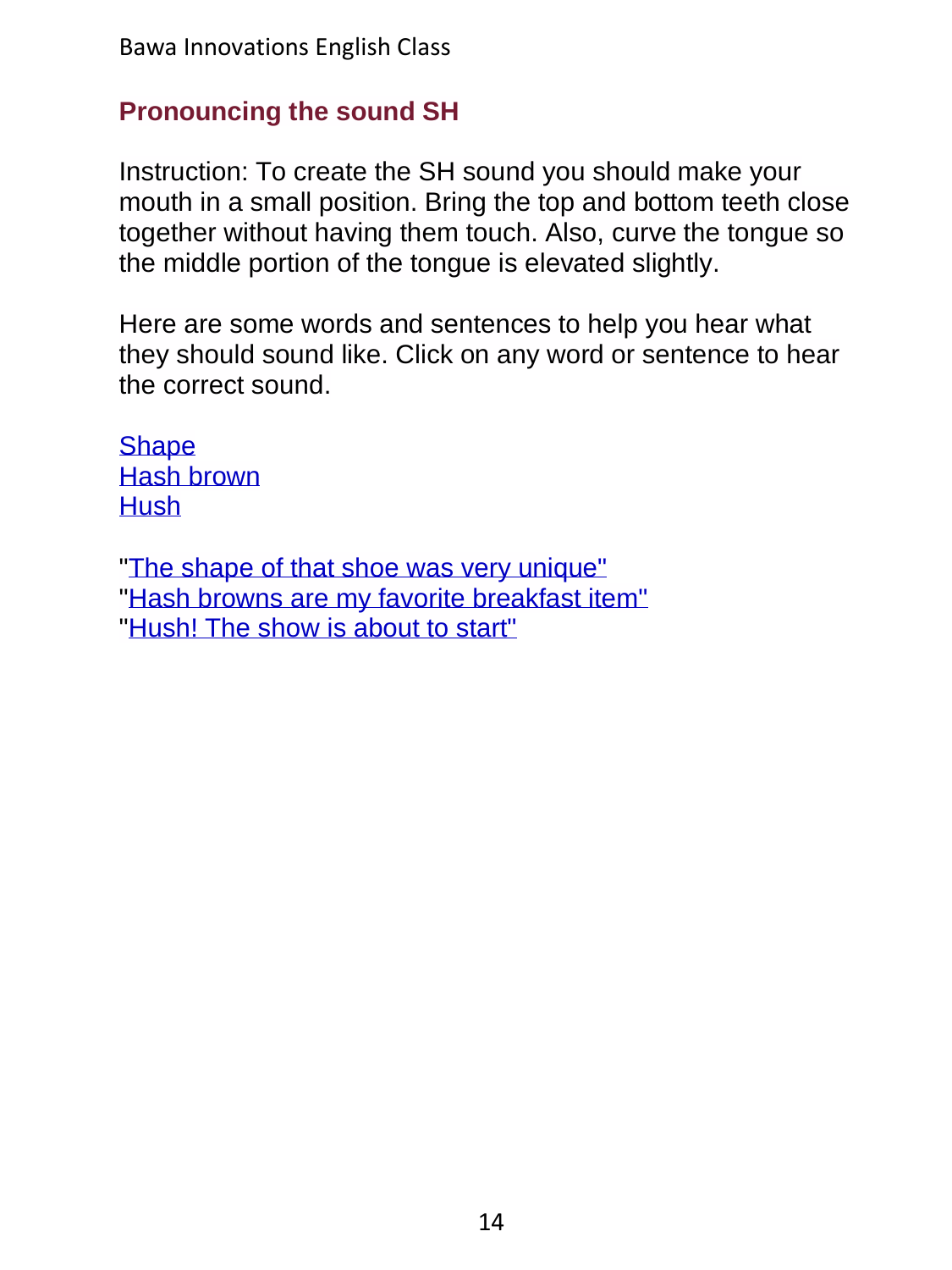## **Pronouncing the sound SH**

Instruction: To create the SH sound you should make your mouth in a small position. Bring the top and bottom teeth close together without having them touch. Also, curve the tongue so the middle portion of the tongue is elevated slightly.

Here are some words and sentences to help you hear what they should sound like. Click on any word or sentence to hear the correct sound.

**[Shape](../../ShortAudio/Pronunciation/14Pronounce_SH/14Pronounce_SH_S2.mp3)** [Hash brown](../../ShortAudio/Pronunciation/14Pronounce_SH/14Pronounce_SH_S3.mp3) **[Hush](../../ShortAudio/Pronunciation/14Pronounce_SH/14Pronounce_SH_S4.mp3)** 

["The shape of that shoe was very unique"](../../ShortAudio/Pronunciation/14Pronounce_SH/14Pronounce_SH_S5.mp3) ["Hash browns are my favorite breakfast item"](../../ShortAudio/Pronunciation/14Pronounce_SH/14Pronounce_SH_S6.mp3) ["Hush! The show is about to start"](../../ShortAudio/Pronunciation/14Pronounce_SH/14Pronounce_SH_S7.mp3)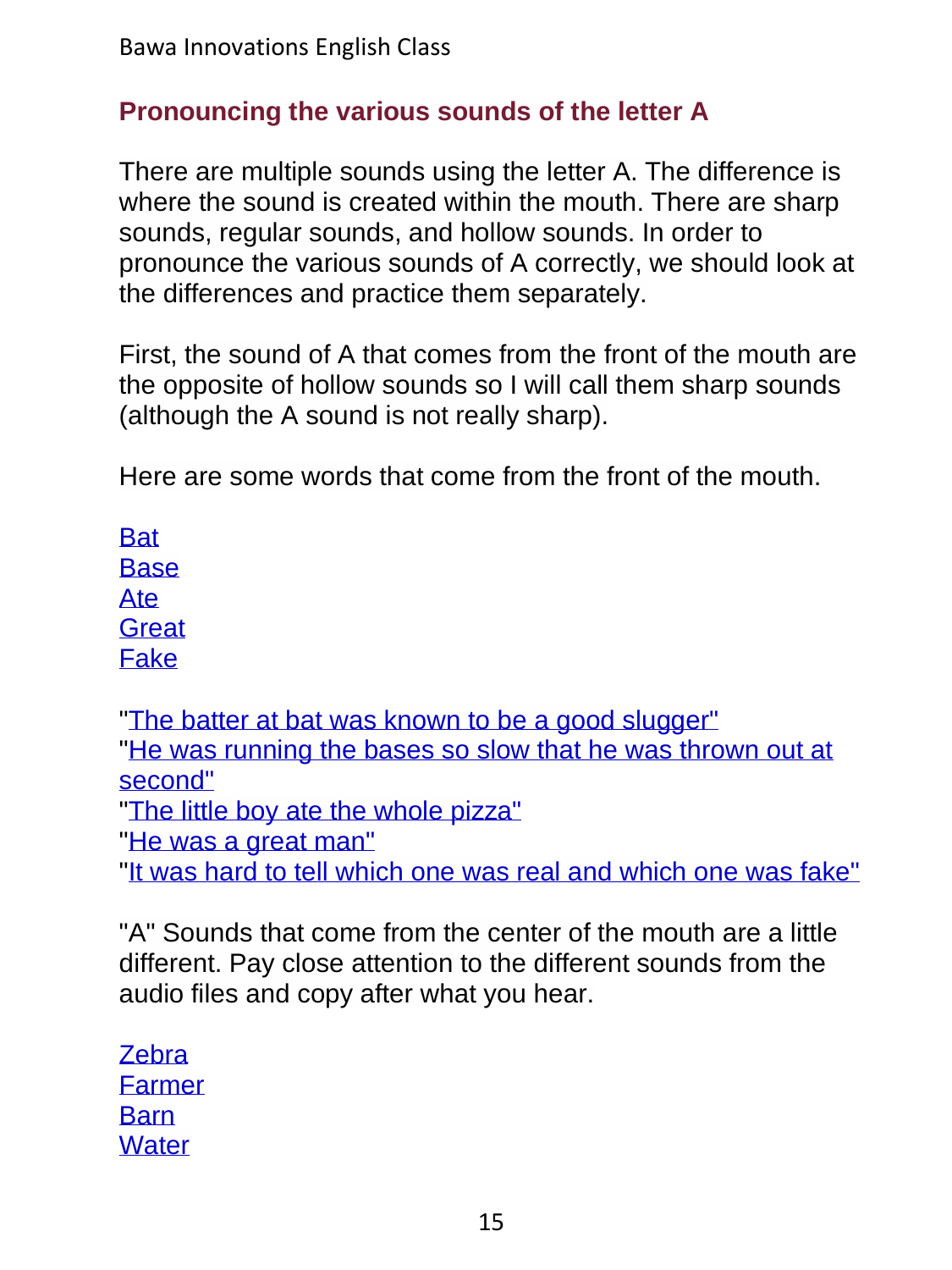## **Pronouncing the various sounds of the letter A**

There are multiple sounds using the letter A. The difference is where the sound is created within the mouth. There are sharp sounds, regular sounds, and hollow sounds. In order to pronounce the various sounds of A correctly, we should look at the differences and practice them separately.

First, the sound of A that comes from the front of the mouth are the opposite of hollow sounds so I will call them sharp sounds (although the A sound is not really sharp).

Here are some words that come from the front of the mouth.

**[Bat](../../ShortAudio/Pronunciation/15Pronounce_A/15Pronounce_A_S2.mp3) [Base](../../ShortAudio/Pronunciation/15Pronounce_A/15Pronounce_A_S3.mp3)** [Ate](../../ShortAudio/Pronunciation/15Pronounce_A/15Pronounce_A_S4.mp3) **[Great](../../ShortAudio/Pronunciation/15Pronounce_A/15Pronounce_A_S5.mp3)** [Fake](../../ShortAudio/Pronunciation/15Pronounce_A/15Pronounce_A_S6.mp3)

["The batter at bat was known to be a good slugger"](../../ShortAudio/Pronunciation/15Pronounce_A/15Pronounce_A_S7.mp3) ["He was running the bases so slow that he was thrown out at](../../ShortAudio/Pronunciation/15Pronounce_A/15Pronounce_A_S8.mp3)  [second"](../../ShortAudio/Pronunciation/15Pronounce_A/15Pronounce_A_S8.mp3)

["The little boy ate the whole pizza"](../../ShortAudio/Pronunciation/15Pronounce_A/15Pronounce_A_S9.mp3)

["He was a great man"](../../ShortAudio/Pronunciation/15Pronounce_A/15Pronounce_A_S10.mp3)

["It was hard to tell which one was real and which one was fake"](../../ShortAudio/Pronunciation/15Pronounce_A/15Pronounce_A_S11.mp3)

"A" Sounds that come from the center of the mouth are a little different. Pay close attention to the different sounds from the audio files and copy after what you hear.

**[Zebra](../../ShortAudio/Pronunciation/15Pronounce_A/15Pronounce_A_S12.mp3)** [Farmer](../../ShortAudio/Pronunciation/15Pronounce_A/15Pronounce_A_S13.mp3) [Barn](../../ShortAudio/Pronunciation/15Pronounce_A/15Pronounce_A_S14.mp3) **[Water](../../ShortAudio/Pronunciation/15Pronounce_A/15Pronounce_A_S15.mp3)**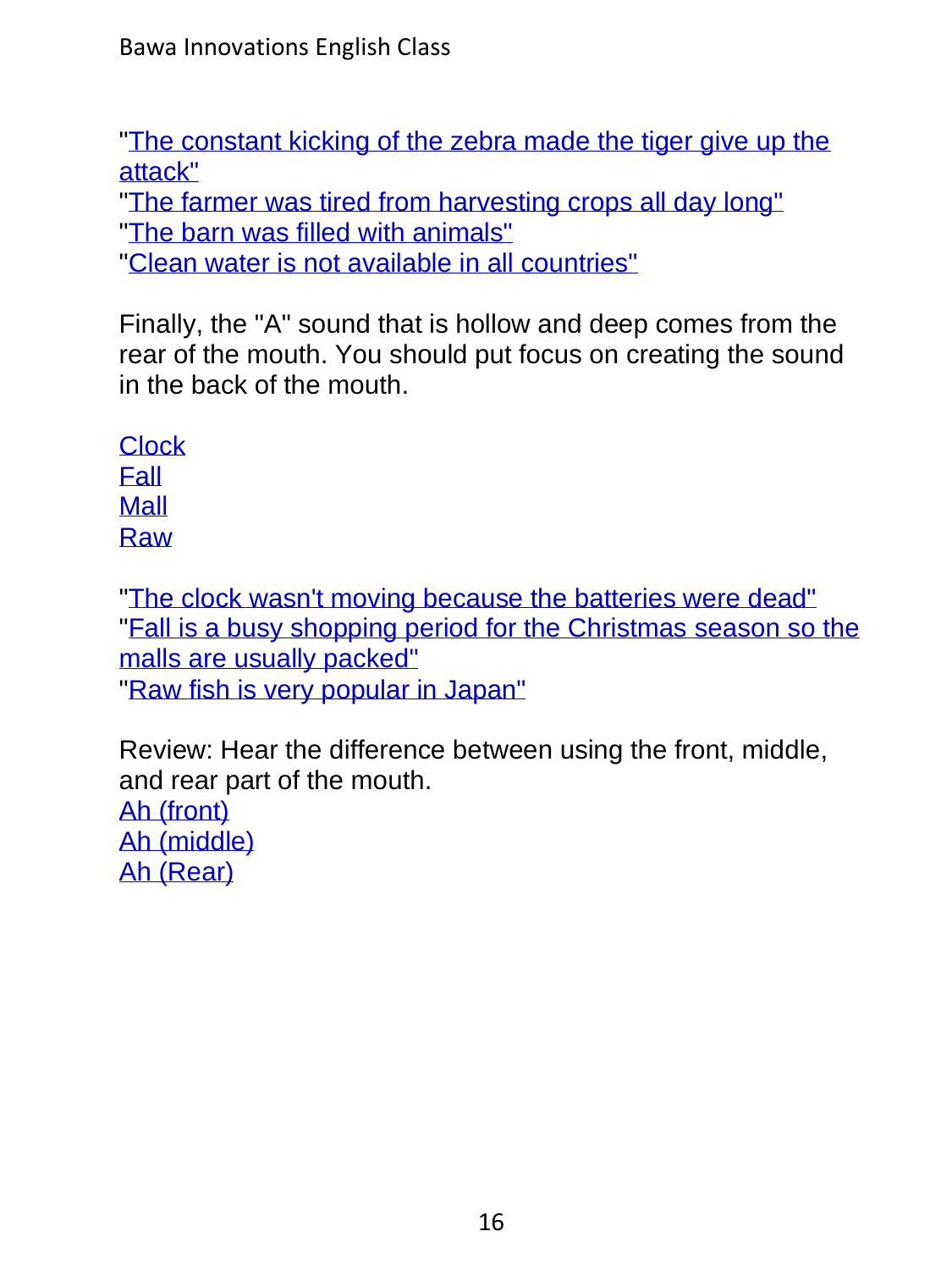["The constant kicking of the zebra made the tiger give up the](../../ShortAudio/Pronunciation/15Pronounce_A/15Pronounce_A_S16.mp3)  [attack"](../../ShortAudio/Pronunciation/15Pronounce_A/15Pronounce_A_S16.mp3)

["The farmer was tired from harvesting crops all day long"](../../ShortAudio/Pronunciation/15Pronounce_A/15Pronounce_A_S17.mp3) ["The barn was filled with animals"](../../ShortAudio/Pronunciation/15Pronounce_A/15Pronounce_A_S18.mp3)

["Clean water is not available in all countries"](../../ShortAudio/Pronunciation/15Pronounce_A/15Pronounce_A_S19.mp3)

Finally, the "A" sound that is hollow and deep comes from the rear of the mouth. You should put focus on creating the sound in the back of the mouth.

**[Clock](../../ShortAudio/Pronunciation/15Pronounce_A/15Pronounce_A_S20.mp3)** [Fall](../../ShortAudio/Pronunciation/15Pronounce_A/15Pronounce_A_S21.mp3) [Mall](../../ShortAudio/Pronunciation/15Pronounce_A/15Pronounce_A_S22.mp3) [Raw](../../ShortAudio/Pronunciation/15Pronounce_A/15Pronounce_A_S23.mp3)

["The clock wasn't moving because the batteries were dead"](../../ShortAudio/Pronunciation/15Pronounce_A/15Pronounce_A_S24.mp3) ["Fall is a busy shopping period for the Christmas](../../ShortAudio/Pronunciation/15Pronounce_A/15Pronounce_A_S25.mp3) season so the [malls are usually packed"](../../ShortAudio/Pronunciation/15Pronounce_A/15Pronounce_A_S25.mp3) ["Raw fish is very popular in Japan"](../../ShortAudio/Pronunciation/15Pronounce_A/15Pronounce_A_S26.mp3)

Review: Hear the difference between using the front, middle, and rear part of the mouth. [Ah \(front\)](../../ShortAudio/Pronunciation/15Pronounce_A/15Pronounce_A_S27.mp3)

[Ah \(middle\)](../../ShortAudio/Pronunciation/15Pronounce_A/15Pronounce_A_S28.mp3) [Ah \(Rear\)](../../ShortAudio/Pronunciation/15Pronounce_A/15Pronounce_A_S29.mp3)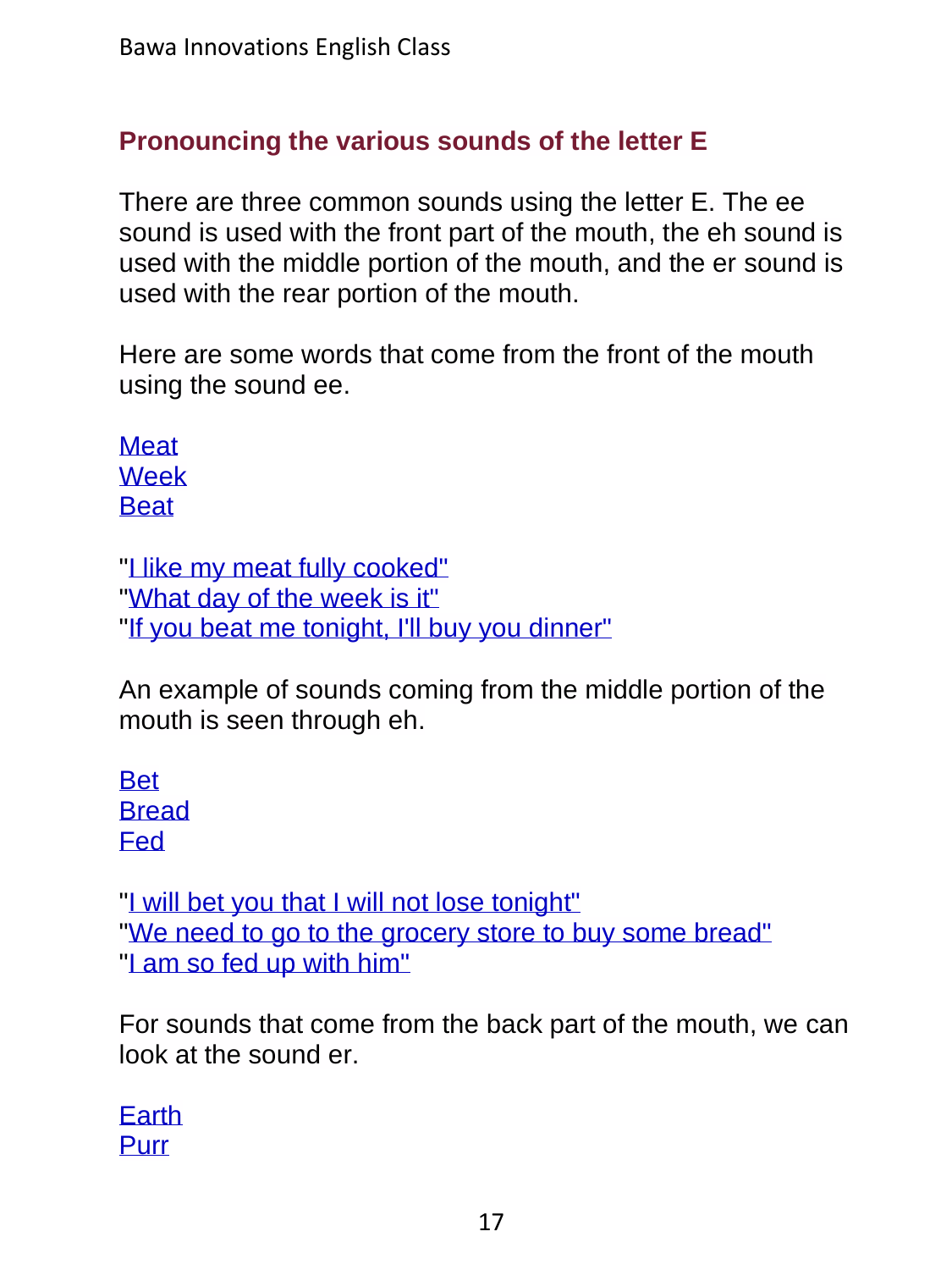## **Pronouncing the various sounds of the letter E**

There are three common sounds using the letter E. The ee sound is used with the front part of the mouth, the eh sound is used with the middle portion of the mouth, and the er sound is used with the rear portion of the mouth.

Here are some words that come from the front of the mouth using the sound ee.

[Meat](../../ShortAudio/Pronunciation/16Pronounce_E/16Pronounce_E_S2.mp3) [Week](../../ShortAudio/Pronunciation/16Pronounce_E/16Pronounce_E_S3.mp3) **[Beat](../../ShortAudio/Pronunciation/16Pronounce_E/16Pronounce_E_S4.mp3)** 

```
"Llike my meat fully cooked"
"What day of the week is it"
"If you beat me tonight, I'll buy you dinner"
```
An example of sounds coming from the middle portion of the mouth is seen through eh.

[Bet](../../ShortAudio/Pronunciation/16Pronounce_E/16Pronounce_E_S8.mp3) **[Bread](../../ShortAudio/Pronunciation/16Pronounce_E/16Pronounce_E_S9.mp3)** [Fed](../../ShortAudio/Pronunciation/16Pronounce_E/16Pronounce_E_S10.mp3)

["I will bet you that I will not lose tonight"](../../ShortAudio/Pronunciation/16Pronounce_E/16Pronounce_E_S11.mp3) ["We need to go to the grocery store to buy some bread"](../../ShortAudio/Pronunciation/16Pronounce_E/16Pronounce_E_S12.mp3) ["I am so fed up with him"](../../ShortAudio/Pronunciation/16Pronounce_E/16Pronounce_E_S13.mp3)

For sounds that come from the back part of the mouth, we can look at the sound er.

[Earth](../../ShortAudio/Pronunciation/16Pronounce_E/16Pronounce_E_S14.mp3) [Purr](../../ShortAudio/Pronunciation/16Pronounce_E/16Pronounce_E_S15.mp3)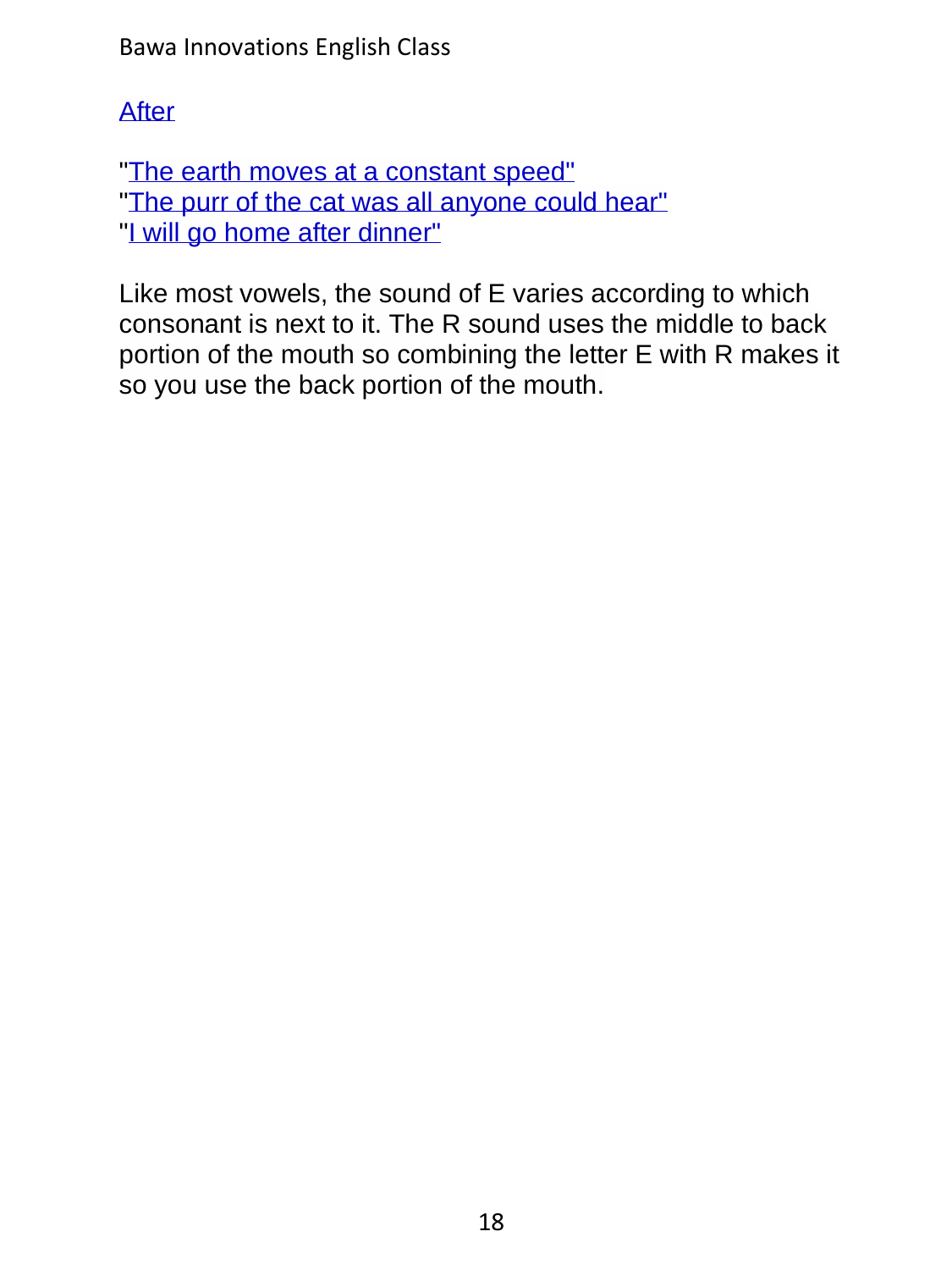Bawa Innovations English Class

#### **[After](../../ShortAudio/Pronunciation/16Pronounce_E/16Pronounce_E_S16.mp3)**

["The earth moves at a constant speed"](../../ShortAudio/Pronunciation/16Pronounce_E/16Pronounce_E_S17.mp3) ["The purr of the cat was all anyone could hear"](../../ShortAudio/Pronunciation/16Pronounce_E/16Pronounce_E_S18.mp3) ["I will go home after dinner"](../../ShortAudio/Pronunciation/16Pronounce_E/16Pronounce_E_S19.mp3)

Like most vowels, the sound of E varies according to which consonant is next to it. The R sound uses the middle to back portion of the mouth so combining the letter E with R makes it so you use the back portion of the mouth.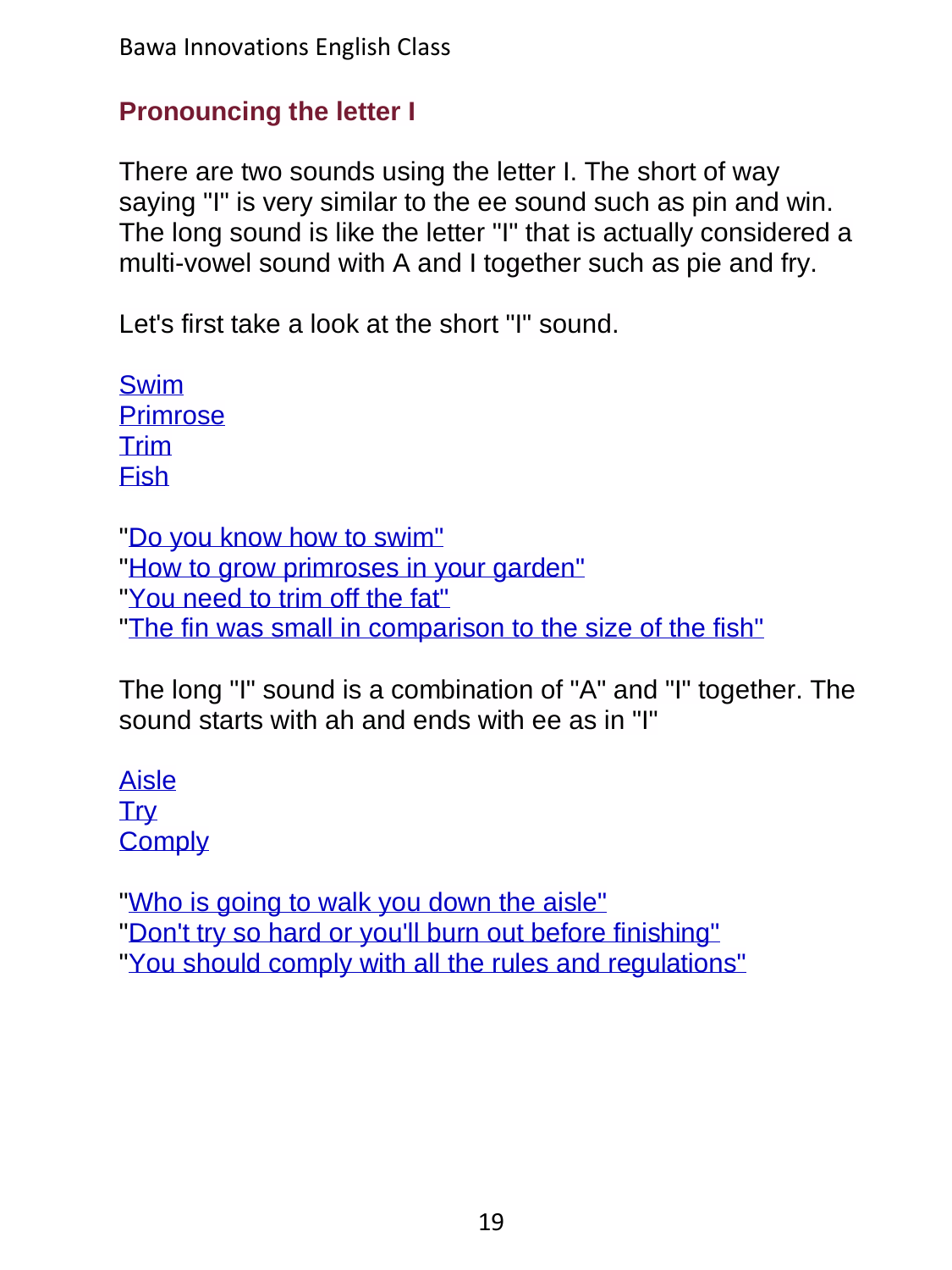## **Pronouncing the letter I**

There are two sounds using the letter I. The short of way saying "I" is very similar to the ee sound such as pin and win. The long sound is like the letter "I" that is actually considered a multi-vowel sound with A and I together such as pie and fry.

Let's first take a look at the short "I" sound.

[Swim](../../ShortAudio/Pronunciation/17Pronounce_I/17Pronounce_I_S2.mp3) [Primrose](../../ShortAudio/Pronunciation/17Pronounce_I/17Pronounce_I_S3.mp3) [Trim](../../ShortAudio/Pronunciation/17Pronounce_I/17Pronounce_I_S4.mp3) [Fish](../../ShortAudio/Pronunciation/17Pronounce_I/17Pronounce_I_S5.mp3)

["Do you know how to swim"](../../ShortAudio/Pronunciation/17Pronounce_I/17Pronounce_I_S6.mp3) ["How to grow primroses in your garden"](../../ShortAudio/Pronunciation/17Pronounce_I/17Pronounce_I_S7.mp3) ["You need to trim off the fat"](../../ShortAudio/Pronunciation/17Pronounce_I/17Pronounce_I_S8.mp3) ["The fin was small in comparison to the size of the fish"](../../ShortAudio/Pronunciation/17Pronounce_I/17Pronounce_I_S9.mp3)

The long "I" sound is a combination of "A" and "I" together. The sound starts with ah and ends with ee as in "I"

[Aisle](../../ShortAudio/Pronunciation/17Pronounce_I/17Pronounce_I_S10.mp3) **[Try](../../ShortAudio/Pronunciation/17Pronounce_I/17Pronounce_I_S11.mp3) [Comply](../../ShortAudio/Pronunciation/17Pronounce_I/17Pronounce_I_S12.mp3)** 

["Who is going to walk you down the aisle"](../../ShortAudio/Pronunciation/17Pronounce_I/17Pronounce_I_S13.mp3) ["Don't try so hard or you'll burn out before finishing"](../../ShortAudio/Pronunciation/17Pronounce_I/17Pronounce_I_S14.mp3) ["You should comply with all the rules and regulations"](../../ShortAudio/Pronunciation/17Pronounce_I/17Pronounce_I_S15.mp3)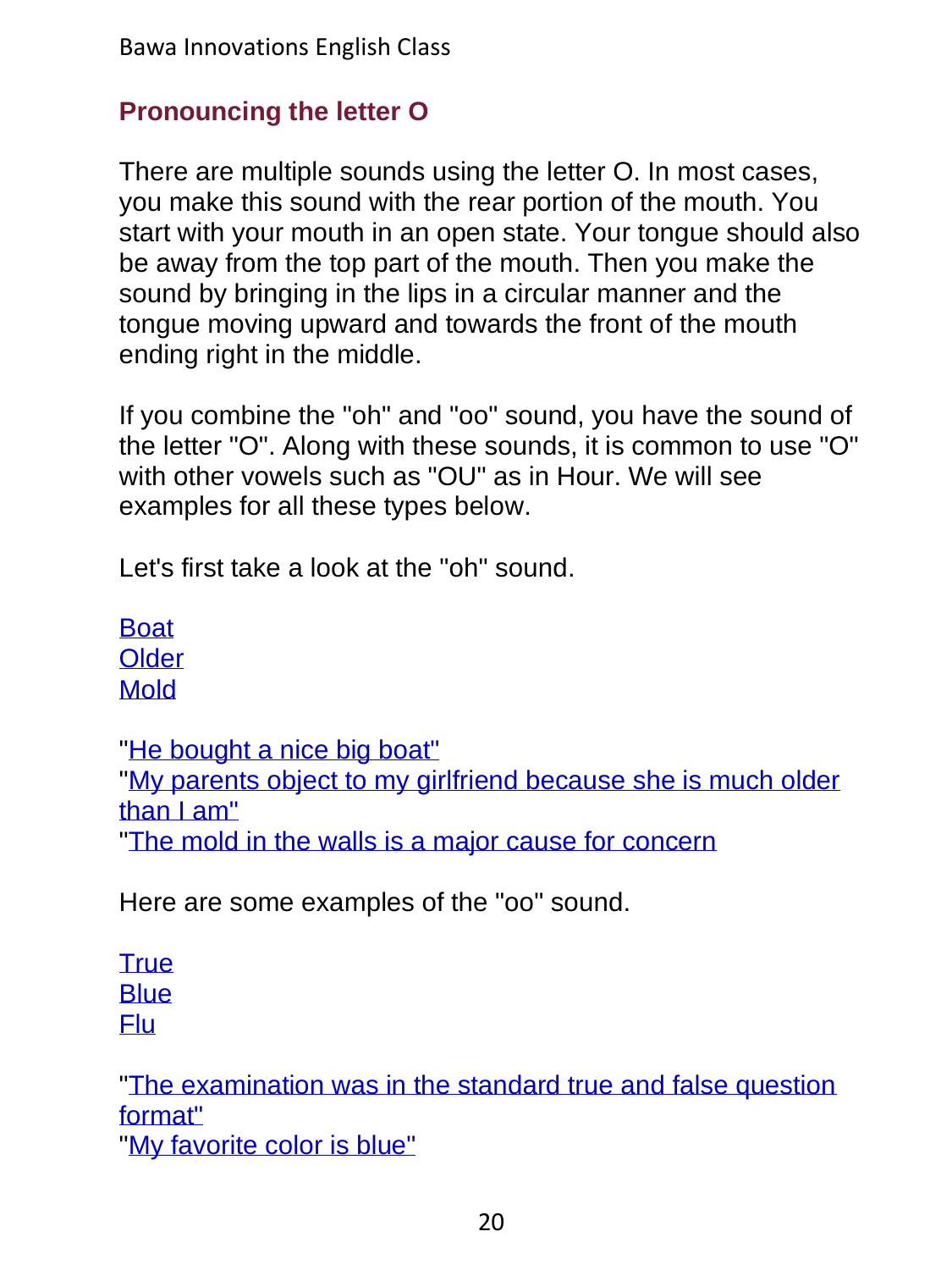# **Pronouncing the letter O**

There are multiple sounds using the letter O. In most cases, you make this sound with the rear portion of the mouth. You start with your mouth in an open state. Your tongue should also be away from the top part of the mouth. Then you make the sound by bringing in the lips in a circular manner and the tongue moving upward and towards the front of the mouth ending right in the middle.

If you combine the "oh" and "oo" sound, you have the sound of the letter "O". Along with these sounds, it is common to use "O" with other vowels such as "OU" as in Hour. We will see examples for all these types below.

Let's first take a look at the "oh" sound.

**[Boat](../../ShortAudio/Pronunciation/18Pronounce_O/18Pronounce_O_S2.mp3) [Older](../../ShortAudio/Pronunciation/18Pronounce_O/18Pronounce_O_S3.mp3)** [Mold](../../ShortAudio/Pronunciation/18Pronounce_O/18Pronounce_O_S4.mp3)

["He bought a nice big boat"](../../ShortAudio/Pronunciation/18Pronounce_O/18Pronounce_O_S5.mp3)

["My parents object to my girlfriend because she is much older](../../ShortAudio/Pronunciation/18Pronounce_O/18Pronounce_O_S6.mp3)  [than I am"](../../ShortAudio/Pronunciation/18Pronounce_O/18Pronounce_O_S6.mp3)

["The mold in the walls is a major cause for concern](../../ShortAudio/Pronunciation/18Pronounce_O/18Pronounce_O_S7.mp3)

Here are some examples of the "oo" sound.

**[True](../../ShortAudio/Pronunciation/18Pronounce_O/18Pronounce_O_S8.mp3) [Blue](../../ShortAudio/Pronunciation/18Pronounce_O/18Pronounce_O_S9.mp3)** [Flu](../../ShortAudio/Pronunciation/18Pronounce_O/18Pronounce_O_S10.mp3)

["The examination was in the standard true and false question](../../ShortAudio/Pronunciation/18Pronounce_O/18Pronounce_O_S11.mp3)  [format"](../../ShortAudio/Pronunciation/18Pronounce_O/18Pronounce_O_S11.mp3)

["My favorite color is blue"](../../ShortAudio/Pronunciation/18Pronounce_O/18Pronounce_O_S12.mp3)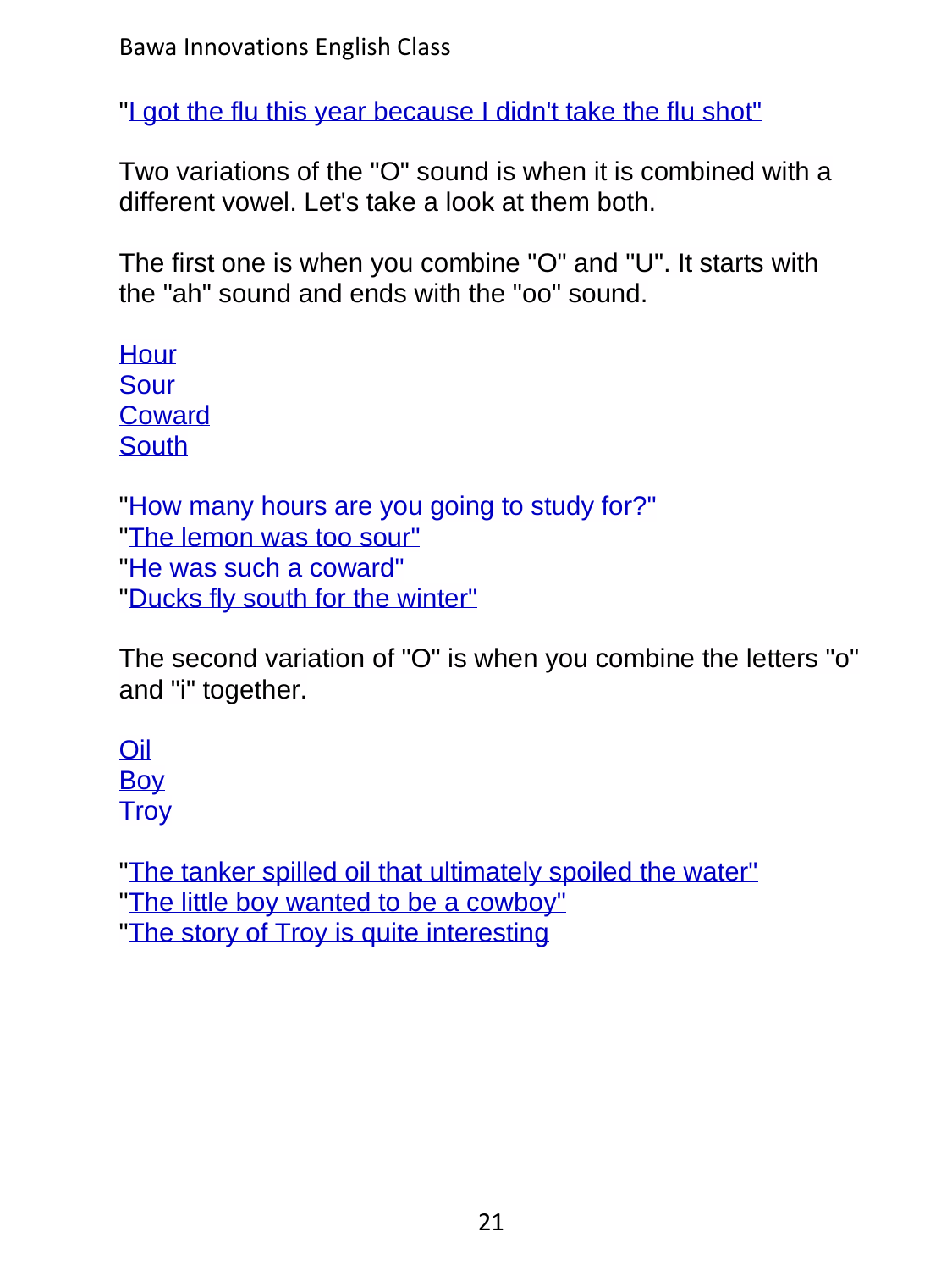Bawa Innovations English Class

["I got the flu this year because I didn't take the flu shot"](../../ShortAudio/Pronunciation/18Pronounce_O/18Pronounce_O_S13.mp3)

Two variations of the "O" sound is when it is combined with a different vowel. Let's take a look at them both.

The first one is when you combine "O" and "U". It starts with the "ah" sound and ends with the "oo" sound.

[Hour](../../ShortAudio/Pronunciation/18Pronounce_O/18Pronounce_O_S14.mp3) [Sour](../../ShortAudio/Pronunciation/18Pronounce_O/18Pronounce_O_S15.mp3) **[Coward](../../ShortAudio/Pronunciation/18Pronounce_O/18Pronounce_O_S16.mp3) [South](../../ShortAudio/Pronunciation/18Pronounce_O/18Pronounce_O_S17.mp3)** 

["How many hours are you going to study for?"](../../ShortAudio/Pronunciation/18Pronounce_O/18Pronounce_O_S18.mp3) ["The lemon was too sour"](../../ShortAudio/Pronunciation/18Pronounce_O/18Pronounce_O_S19.mp3) ["He was such a coward"](../../ShortAudio/Pronunciation/18Pronounce_O/18Pronounce_O_S20.mp3) ["Ducks fly south for the winter"](../../ShortAudio/Pronunciation/18Pronounce_O/18Pronounce_O_S21.mp3)

The second variation of "O" is when you combine the letters "o" and "i" together.

[Oil](../../ShortAudio/Pronunciation/18Pronounce_O/18Pronounce_O_S22.mp3) [Boy](../../ShortAudio/Pronunciation/18Pronounce_O/18Pronounce_O_S23.mp3) **[Troy](../../ShortAudio/Pronunciation/18Pronounce_O/18Pronounce_O_S24.mp3)** 

["The tanker spilled oil that ultimately spoiled the water"](../../ShortAudio/Pronunciation/18Pronounce_O/18Pronounce_O_S25.mp3) ["The little boy wanted to be a cowboy"](../../ShortAudio/Pronunciation/18Pronounce_O/18Pronounce_O_S26.mp3) ["The story of Troy is quite interesting](../../ShortAudio/Pronunciation/18Pronounce_O/18Pronounce_O_S27.mp3)